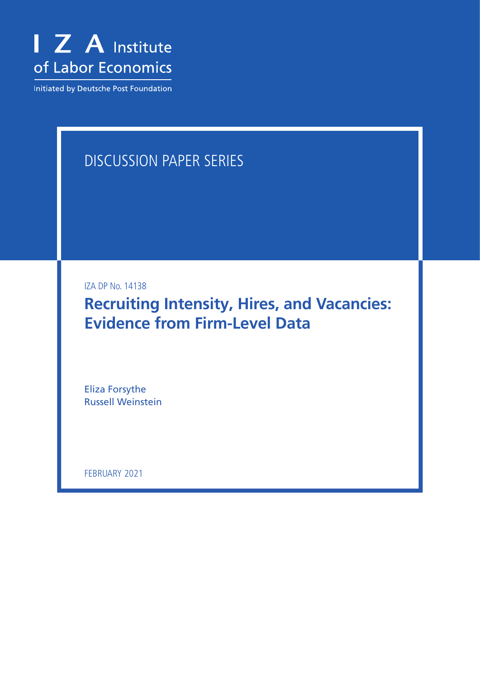

Initiated by Deutsche Post Foundation

# DISCUSSION PAPER SERIES

IZA DP No. 14138

**Recruiting Intensity, Hires, and Vacancies: Evidence from Firm-Level Data**

Eliza Forsythe Russell Weinstein

FEBRUARY 2021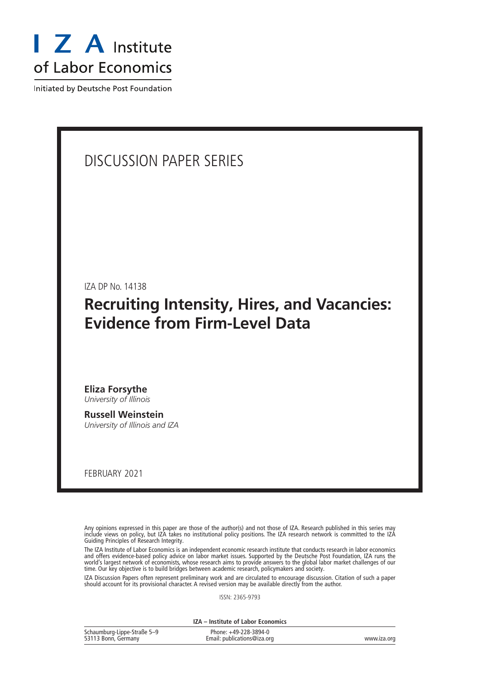

Initiated by Deutsche Post Foundation

### DISCUSSION PAPER SERIES

IZA DP No. 14138

### **Recruiting Intensity, Hires, and Vacancies: Evidence from Firm-Level Data**

**Eliza Forsythe** *University of Illinois*

**Russell Weinstein** *University of Illinois and IZA*

FEBRUARY 2021

Any opinions expressed in this paper are those of the author(s) and not those of IZA. Research published in this series may include views on policy, but IZA takes no institutional policy positions. The IZA research network is committed to the IZA Guiding Principles of Research Integrity.

The IZA Institute of Labor Economics is an independent economic research institute that conducts research in labor economics and offers evidence-based policy advice on labor market issues. Supported by the Deutsche Post Foundation, IZA runs the world's largest network of economists, whose research aims to provide answers to the global labor market challenges of our time. Our key objective is to build bridges between academic research, policymakers and society.

IZA Discussion Papers often represent preliminary work and are circulated to encourage discussion. Citation of such a paper should account for its provisional character. A revised version may be available directly from the author.

ISSN: 2365-9793

**IZA – Institute of Labor Economics**

| Schaumburg-Lippe-Straße 5-9 | Phone: +49-228-3894-0       |             |
|-----------------------------|-----------------------------|-------------|
| 53113 Bonn, Germany         | Email: publications@iza.org | www.iza.org |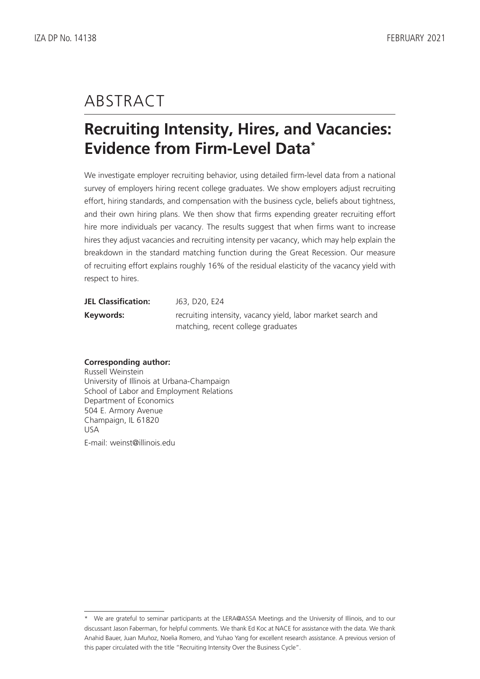# ABSTRACT

# **Recruiting Intensity, Hires, and Vacancies: Evidence from Firm-Level Data\***

We investigate employer recruiting behavior, using detailed firm-level data from a national survey of employers hiring recent college graduates. We show employers adjust recruiting effort, hiring standards, and compensation with the business cycle, beliefs about tightness, and their own hiring plans. We then show that firms expending greater recruiting effort hire more individuals per vacancy. The results suggest that when firms want to increase hires they adjust vacancies and recruiting intensity per vacancy, which may help explain the breakdown in the standard matching function during the Great Recession. Our measure of recruiting effort explains roughly 16% of the residual elasticity of the vacancy yield with respect to hires.

| <b>JEL Classification:</b> | J63, D20, E24                                                |
|----------------------------|--------------------------------------------------------------|
| Keywords:                  | recruiting intensity, vacancy yield, labor market search and |
|                            | matching, recent college graduates                           |

#### **Corresponding author:**

Russell Weinstein University of Illinois at Urbana-Champaign School of Labor and Employment Relations Department of Economics 504 E. Armory Avenue Champaign, IL 61820 USA E-mail: weinst@illinois.edu

<sup>\*</sup> We are grateful to seminar participants at the LERA@ASSA Meetings and the University of Illinois, and to our discussant Jason Faberman, for helpful comments. We thank Ed Koc at NACE for assistance with the data. We thank Anahid Bauer, Juan Muñoz, Noelia Romero, and Yuhao Yang for excellent research assistance. A previous version of this paper circulated with the title "Recruiting Intensity Over the Business Cycle".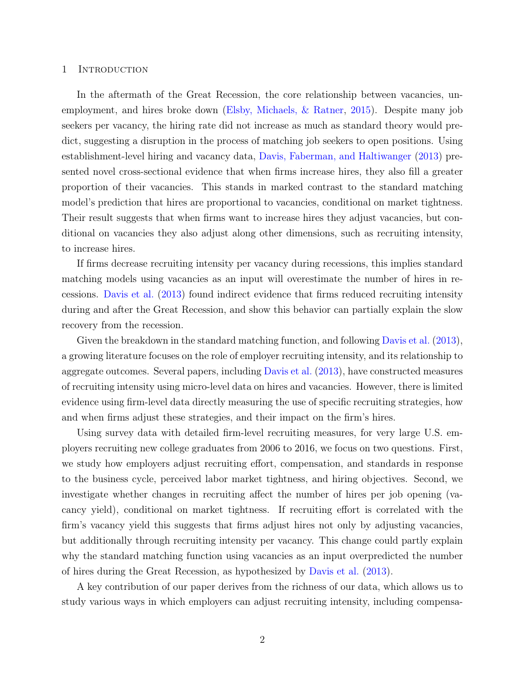#### 1 Introduction

In the aftermath of the Great Recession, the core relationship between vacancies, unemployment, and hires broke down [\(Elsby, Michaels, & Ratner,](#page-31-0) [2015\)](#page-31-0). Despite many job seekers per vacancy, the hiring rate did not increase as much as standard theory would predict, suggesting a disruption in the process of matching job seekers to open positions. Using establishment-level hiring and vacancy data, [Davis, Faberman, and Haltiwanger](#page-31-1) [\(2013\)](#page-31-1) presented novel cross-sectional evidence that when firms increase hires, they also fill a greater proportion of their vacancies. This stands in marked contrast to the standard matching model's prediction that hires are proportional to vacancies, conditional on market tightness. Their result suggests that when firms want to increase hires they adjust vacancies, but conditional on vacancies they also adjust along other dimensions, such as recruiting intensity, to increase hires.

If firms decrease recruiting intensity per vacancy during recessions, this implies standard matching models using vacancies as an input will overestimate the number of hires in recessions. [Davis et al.](#page-31-1) [\(2013\)](#page-31-1) found indirect evidence that firms reduced recruiting intensity during and after the Great Recession, and show this behavior can partially explain the slow recovery from the recession.

Given the breakdown in the standard matching function, and following [Davis et al.](#page-31-1) [\(2013\)](#page-31-1), a growing literature focuses on the role of employer recruiting intensity, and its relationship to aggregate outcomes. Several papers, including [Davis et al.](#page-31-1) [\(2013\)](#page-31-1), have constructed measures of recruiting intensity using micro-level data on hires and vacancies. However, there is limited evidence using firm-level data directly measuring the use of specific recruiting strategies, how and when firms adjust these strategies, and their impact on the firm's hires.

Using survey data with detailed firm-level recruiting measures, for very large U.S. employers recruiting new college graduates from 2006 to 2016, we focus on two questions. First, we study how employers adjust recruiting effort, compensation, and standards in response to the business cycle, perceived labor market tightness, and hiring objectives. Second, we investigate whether changes in recruiting affect the number of hires per job opening (vacancy yield), conditional on market tightness. If recruiting effort is correlated with the firm's vacancy yield this suggests that firms adjust hires not only by adjusting vacancies, but additionally through recruiting intensity per vacancy. This change could partly explain why the standard matching function using vacancies as an input overpredicted the number of hires during the Great Recession, as hypothesized by [Davis et al.](#page-31-1) [\(2013\)](#page-31-1).

A key contribution of our paper derives from the richness of our data, which allows us to study various ways in which employers can adjust recruiting intensity, including compensa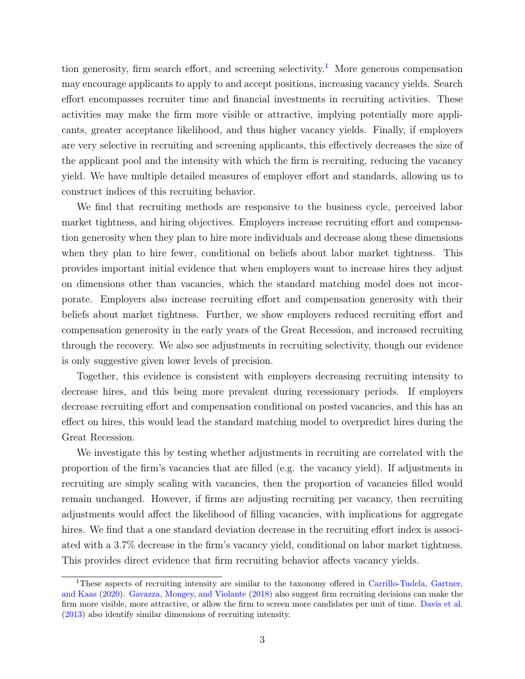tion generosity, firm search effort, and screening selectivity.<sup>[1](#page-4-0)</sup> More generous compensation may encourage applicants to apply to and accept positions, increasing vacancy yields. Search effort encompasses recruiter time and financial investments in recruiting activities. These activities may make the firm more visible or attractive, implying potentially more applicants, greater acceptance likelihood, and thus higher vacancy yields. Finally, if employers are very selective in recruiting and screening applicants, this effectively decreases the size of the applicant pool and the intensity with which the firm is recruiting, reducing the vacancy yield. We have multiple detailed measures of employer effort and standards, allowing us to construct indices of this recruiting behavior.

We find that recruiting methods are responsive to the business cycle, perceived labor market tightness, and hiring objectives. Employers increase recruiting effort and compensation generosity when they plan to hire more individuals and decrease along these dimensions when they plan to hire fewer, conditional on beliefs about labor market tightness. This provides important initial evidence that when employers want to increase hires they adjust on dimensions other than vacancies, which the standard matching model does not incorporate. Employers also increase recruiting effort and compensation generosity with their beliefs about market tightness. Further, we show employers reduced recruiting effort and compensation generosity in the early years of the Great Recession, and increased recruiting through the recovery. We also see adjustments in recruiting selectivity, though our evidence is only suggestive given lower levels of precision.

Together, this evidence is consistent with employers decreasing recruiting intensity to decrease hires, and this being more prevalent during recessionary periods. If employers decrease recruiting effort and compensation conditional on posted vacancies, and this has an effect on hires, this would lead the standard matching model to overpredict hires during the Great Recession.

We investigate this by testing whether adjustments in recruiting are correlated with the proportion of the firm's vacancies that are filled (e.g. the vacancy yield). If adjustments in recruiting are simply scaling with vacancies, then the proportion of vacancies filled would remain unchanged. However, if firms are adjusting recruiting per vacancy, then recruiting adjustments would affect the likelihood of filling vacancies, with implications for aggregate hires. We find that a one standard deviation decrease in the recruiting effort index is associated with a 3.7% decrease in the firm's vacancy yield, conditional on labor market tightness. This provides direct evidence that firm recruiting behavior affects vacancy yields.

<span id="page-4-0"></span><sup>1</sup>These aspects of recruiting intensity are similar to the taxonomy offered in [Carrillo-Tudela, Gartner,](#page-31-2) [and Kaas](#page-31-2) [\(2020\)](#page-31-2). [Gavazza, Mongey, and Violante](#page-32-0) [\(2018\)](#page-32-0) also suggest firm recruiting decisions can make the firm more visible, more attractive, or allow the firm to screen more candidates per unit of time. [Davis et al.](#page-31-1) [\(2013\)](#page-31-1) also identify similar dimensions of recruiting intensity.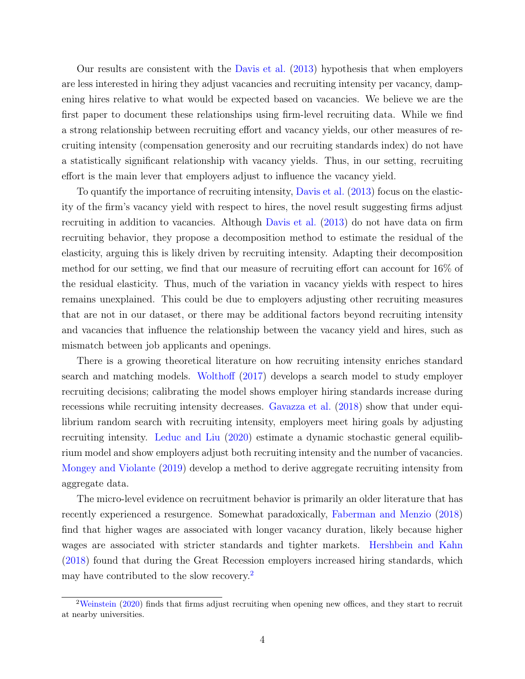Our results are consistent with the [Davis et al.](#page-31-1) [\(2013\)](#page-31-1) hypothesis that when employers are less interested in hiring they adjust vacancies and recruiting intensity per vacancy, dampening hires relative to what would be expected based on vacancies. We believe we are the first paper to document these relationships using firm-level recruiting data. While we find a strong relationship between recruiting effort and vacancy yields, our other measures of recruiting intensity (compensation generosity and our recruiting standards index) do not have a statistically significant relationship with vacancy yields. Thus, in our setting, recruiting effort is the main lever that employers adjust to influence the vacancy yield.

To quantify the importance of recruiting intensity, [Davis et al.](#page-31-1) [\(2013\)](#page-31-1) focus on the elasticity of the firm's vacancy yield with respect to hires, the novel result suggesting firms adjust recruiting in addition to vacancies. Although [Davis et al.](#page-31-1) [\(2013\)](#page-31-1) do not have data on firm recruiting behavior, they propose a decomposition method to estimate the residual of the elasticity, arguing this is likely driven by recruiting intensity. Adapting their decomposition method for our setting, we find that our measure of recruiting effort can account for 16% of the residual elasticity. Thus, much of the variation in vacancy yields with respect to hires remains unexplained. This could be due to employers adjusting other recruiting measures that are not in our dataset, or there may be additional factors beyond recruiting intensity and vacancies that influence the relationship between the vacancy yield and hires, such as mismatch between job applicants and openings.

There is a growing theoretical literature on how recruiting intensity enriches standard search and matching models. [Wolthoff](#page-33-0) [\(2017\)](#page-33-0) develops a search model to study employer recruiting decisions; calibrating the model shows employer hiring standards increase during recessions while recruiting intensity decreases. [Gavazza et al.](#page-32-0) [\(2018\)](#page-32-0) show that under equilibrium random search with recruiting intensity, employers meet hiring goals by adjusting recruiting intensity. [Leduc and Liu](#page-32-1) [\(2020\)](#page-32-1) estimate a dynamic stochastic general equilibrium model and show employers adjust both recruiting intensity and the number of vacancies. [Mongey and Violante](#page-32-2) [\(2019\)](#page-32-2) develop a method to derive aggregate recruiting intensity from aggregate data.

The micro-level evidence on recruitment behavior is primarily an older literature that has recently experienced a resurgence. Somewhat paradoxically, [Faberman and Menzio](#page-32-3) [\(2018\)](#page-32-3) find that higher wages are associated with longer vacancy duration, likely because higher wages are associated with stricter standards and tighter markets. [Hershbein and Kahn](#page-32-4) [\(2018\)](#page-32-4) found that during the Great Recession employers increased hiring standards, which may have contributed to the slow recovery.<sup>[2](#page-5-0)</sup>

<span id="page-5-0"></span><sup>&</sup>lt;sup>2</sup>[Weinstein](#page-33-1) [\(2020\)](#page-33-1) finds that firms adjust recruiting when opening new offices, and they start to recruit at nearby universities.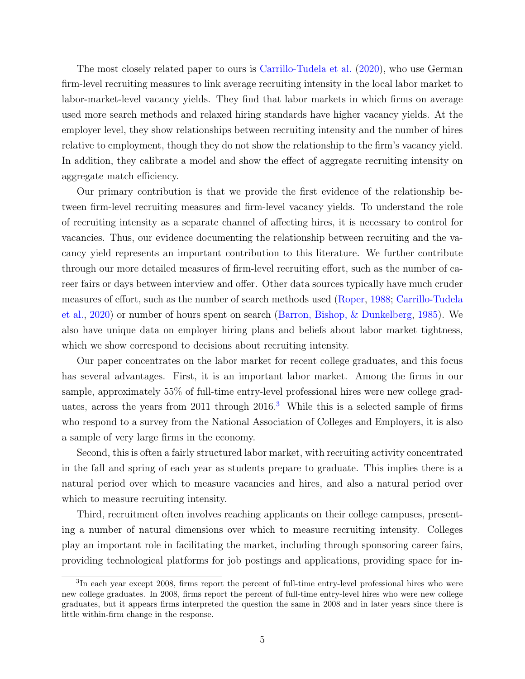The most closely related paper to ours is [Carrillo-Tudela et al.](#page-31-2) [\(2020\)](#page-31-2), who use German firm-level recruiting measures to link average recruiting intensity in the local labor market to labor-market-level vacancy yields. They find that labor markets in which firms on average used more search methods and relaxed hiring standards have higher vacancy yields. At the employer level, they show relationships between recruiting intensity and the number of hires relative to employment, though they do not show the relationship to the firm's vacancy yield. In addition, they calibrate a model and show the effect of aggregate recruiting intensity on aggregate match efficiency.

Our primary contribution is that we provide the first evidence of the relationship between firm-level recruiting measures and firm-level vacancy yields. To understand the role of recruiting intensity as a separate channel of affecting hires, it is necessary to control for vacancies. Thus, our evidence documenting the relationship between recruiting and the vacancy yield represents an important contribution to this literature. We further contribute through our more detailed measures of firm-level recruiting effort, such as the number of career fairs or days between interview and offer. Other data sources typically have much cruder measures of effort, such as the number of search methods used [\(Roper,](#page-32-5) [1988;](#page-32-5) [Carrillo-Tudela](#page-31-2) [et al.,](#page-31-2) [2020\)](#page-31-2) or number of hours spent on search [\(Barron, Bishop, & Dunkelberg,](#page-31-3) [1985\)](#page-31-3). We also have unique data on employer hiring plans and beliefs about labor market tightness, which we show correspond to decisions about recruiting intensity.

Our paper concentrates on the labor market for recent college graduates, and this focus has several advantages. First, it is an important labor market. Among the firms in our sample, approximately 55% of full-time entry-level professional hires were new college graduates, across the years from 2011 through  $2016<sup>3</sup>$  $2016<sup>3</sup>$  $2016<sup>3</sup>$  While this is a selected sample of firms who respond to a survey from the National Association of Colleges and Employers, it is also a sample of very large firms in the economy.

Second, this is often a fairly structured labor market, with recruiting activity concentrated in the fall and spring of each year as students prepare to graduate. This implies there is a natural period over which to measure vacancies and hires, and also a natural period over which to measure recruiting intensity.

Third, recruitment often involves reaching applicants on their college campuses, presenting a number of natural dimensions over which to measure recruiting intensity. Colleges play an important role in facilitating the market, including through sponsoring career fairs, providing technological platforms for job postings and applications, providing space for in-

<span id="page-6-0"></span><sup>&</sup>lt;sup>3</sup>In each year except 2008, firms report the percent of full-time entry-level professional hires who were new college graduates. In 2008, firms report the percent of full-time entry-level hires who were new college graduates, but it appears firms interpreted the question the same in 2008 and in later years since there is little within-firm change in the response.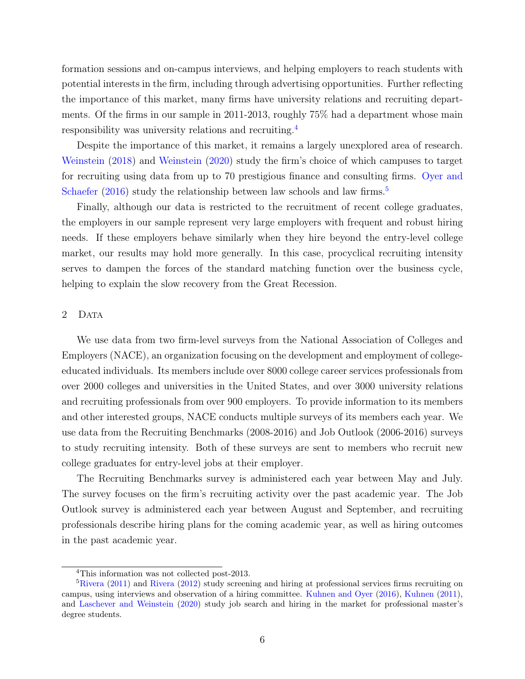formation sessions and on-campus interviews, and helping employers to reach students with potential interests in the firm, including through advertising opportunities. Further reflecting the importance of this market, many firms have university relations and recruiting departments. Of the firms in our sample in 2011-2013, roughly 75% had a department whose main responsibility was university relations and recruiting.[4](#page-7-0)

Despite the importance of this market, it remains a largely unexplored area of research. [Weinstein](#page-33-2) [\(2018\)](#page-33-2) and [Weinstein](#page-33-1) [\(2020\)](#page-33-1) study the firm's choice of which campuses to target for recruiting using data from up to 70 prestigious finance and consulting firms. [Oyer and](#page-32-6) [Schaefer](#page-32-6) [\(2016\)](#page-32-6) study the relationship between law schools and law firms.<sup>[5](#page-7-1)</sup>

Finally, although our data is restricted to the recruitment of recent college graduates, the employers in our sample represent very large employers with frequent and robust hiring needs. If these employers behave similarly when they hire beyond the entry-level college market, our results may hold more generally. In this case, procyclical recruiting intensity serves to dampen the forces of the standard matching function over the business cycle, helping to explain the slow recovery from the Great Recession.

#### 2 DATA

We use data from two firm-level surveys from the National Association of Colleges and Employers (NACE), an organization focusing on the development and employment of collegeeducated individuals. Its members include over 8000 college career services professionals from over 2000 colleges and universities in the United States, and over 3000 university relations and recruiting professionals from over 900 employers. To provide information to its members and other interested groups, NACE conducts multiple surveys of its members each year. We use data from the Recruiting Benchmarks (2008-2016) and Job Outlook (2006-2016) surveys to study recruiting intensity. Both of these surveys are sent to members who recruit new college graduates for entry-level jobs at their employer.

The Recruiting Benchmarks survey is administered each year between May and July. The survey focuses on the firm's recruiting activity over the past academic year. The Job Outlook survey is administered each year between August and September, and recruiting professionals describe hiring plans for the coming academic year, as well as hiring outcomes in the past academic year.

<span id="page-7-1"></span><span id="page-7-0"></span><sup>4</sup>This information was not collected post-2013.

 ${}^{5}$ [Rivera](#page-32-8) [\(2011\)](#page-32-7) and Rivera [\(2012\)](#page-32-8) study screening and hiring at professional services firms recruiting on campus, using interviews and observation of a hiring committee. [Kuhnen and Oyer](#page-32-9) [\(2016\)](#page-32-9), [Kuhnen](#page-32-10) [\(2011\)](#page-32-10), and [Laschever and Weinstein](#page-32-11) [\(2020\)](#page-32-11) study job search and hiring in the market for professional master's degree students.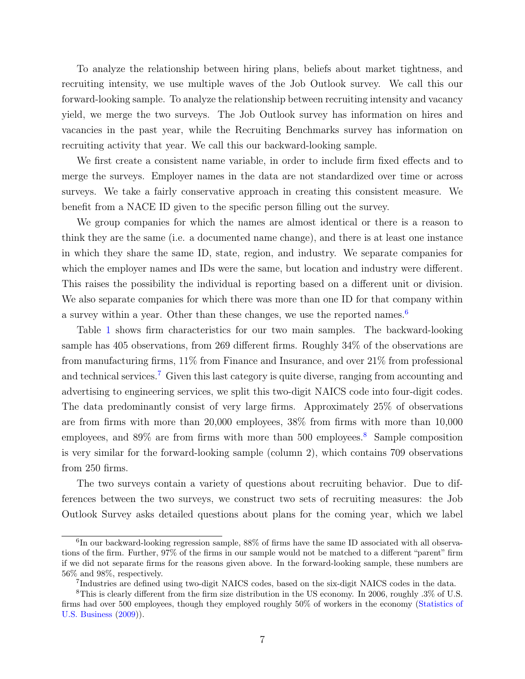To analyze the relationship between hiring plans, beliefs about market tightness, and recruiting intensity, we use multiple waves of the Job Outlook survey. We call this our forward-looking sample. To analyze the relationship between recruiting intensity and vacancy yield, we merge the two surveys. The Job Outlook survey has information on hires and vacancies in the past year, while the Recruiting Benchmarks survey has information on recruiting activity that year. We call this our backward-looking sample.

We first create a consistent name variable, in order to include firm fixed effects and to merge the surveys. Employer names in the data are not standardized over time or across surveys. We take a fairly conservative approach in creating this consistent measure. We benefit from a NACE ID given to the specific person filling out the survey.

We group companies for which the names are almost identical or there is a reason to think they are the same (i.e. a documented name change), and there is at least one instance in which they share the same ID, state, region, and industry. We separate companies for which the employer names and IDs were the same, but location and industry were different. This raises the possibility the individual is reporting based on a different unit or division. We also separate companies for which there was more than one ID for that company within a survey within a year. Other than these changes, we use the reported names.<sup>[6](#page-8-0)</sup>

Table [1](#page-9-0) shows firm characteristics for our two main samples. The backward-looking sample has 405 observations, from 269 different firms. Roughly 34% of the observations are from manufacturing firms, 11% from Finance and Insurance, and over 21% from professional and technical services.<sup>[7](#page-8-1)</sup> Given this last category is quite diverse, ranging from accounting and advertising to engineering services, we split this two-digit NAICS code into four-digit codes. The data predominantly consist of very large firms. Approximately 25% of observations are from firms with more than 20,000 employees, 38% from firms with more than 10,000 employees, and  $89\%$  $89\%$  are from firms with more than 500 employees.<sup>8</sup> Sample composition is very similar for the forward-looking sample (column 2), which contains 709 observations from 250 firms.

The two surveys contain a variety of questions about recruiting behavior. Due to differences between the two surveys, we construct two sets of recruiting measures: the Job Outlook Survey asks detailed questions about plans for the coming year, which we label

<span id="page-8-0"></span><sup>&</sup>lt;sup>6</sup>In our backward-looking regression sample, 88% of firms have the same ID associated with all observations of the firm. Further, 97% of the firms in our sample would not be matched to a different "parent" firm if we did not separate firms for the reasons given above. In the forward-looking sample, these numbers are 56% and 98%, respectively.

<span id="page-8-2"></span><span id="page-8-1"></span><sup>7</sup> Industries are defined using two-digit NAICS codes, based on the six-digit NAICS codes in the data.

<sup>8</sup>This is clearly different from the firm size distribution in the US economy. In 2006, roughly .3% of U.S. firms had over 500 employees, though they employed roughly 50% of workers in the economy [\(Statistics of](#page-32-12) [U.S. Business](#page-32-12) [\(2009\)](#page-32-12)).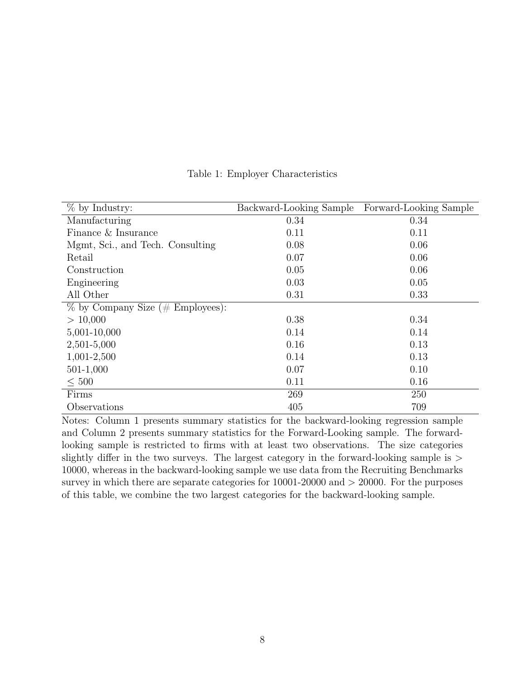<span id="page-9-0"></span>

| $%$ by Industry:                    | Backward-Looking Sample | Forward-Looking Sample |
|-------------------------------------|-------------------------|------------------------|
| Manufacturing                       | 0.34                    | 0.34                   |
| Finance & Insurance                 | 0.11                    | 0.11                   |
| Mgmt, Sci., and Tech. Consulting    | 0.08                    | 0.06                   |
| Retail                              | 0.07                    | 0.06                   |
| Construction                        | 0.05                    | 0.06                   |
| Engineering                         | 0.03                    | 0.05                   |
| All Other                           | 0.31                    | 0.33                   |
| $\%$ by Company Size (# Employees): |                         |                        |
| > 10,000                            | 0.38                    | 0.34                   |
| 5,001-10,000                        | 0.14                    | 0.14                   |
| 2,501-5,000                         | 0.16                    | 0.13                   |
| 1,001-2,500                         | 0.14                    | 0.13                   |
| 501-1,000                           | 0.07                    | 0.10                   |
| $\leq 500$                          | 0.11                    | 0.16                   |
| Firms                               | 269                     | 250                    |
| Observations                        | 405                     | 709                    |

Table 1: Employer Characteristics

Notes: Column 1 presents summary statistics for the backward-looking regression sample and Column 2 presents summary statistics for the Forward-Looking sample. The forwardlooking sample is restricted to firms with at least two observations. The size categories slightly differ in the two surveys. The largest category in the forward-looking sample is > 10000, whereas in the backward-looking sample we use data from the Recruiting Benchmarks survey in which there are separate categories for 10001-20000 and  $> 20000$ . For the purposes of this table, we combine the two largest categories for the backward-looking sample.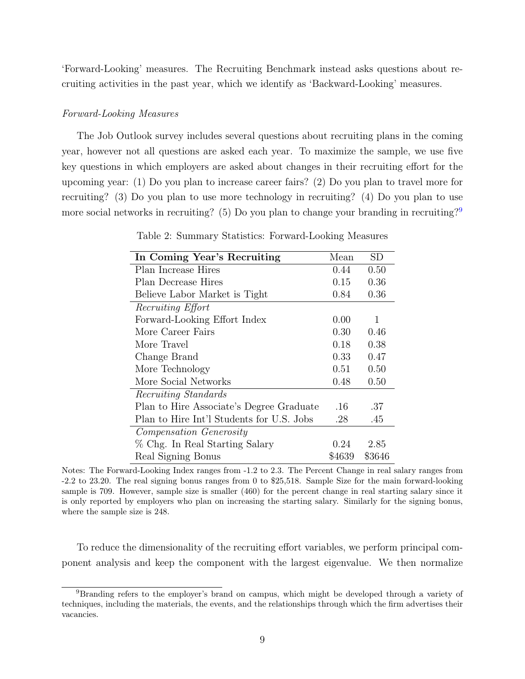'Forward-Looking' measures. The Recruiting Benchmark instead asks questions about recruiting activities in the past year, which we identify as 'Backward-Looking' measures.

#### <span id="page-10-2"></span>Forward-Looking Measures

The Job Outlook survey includes several questions about recruiting plans in the coming year, however not all questions are asked each year. To maximize the sample, we use five key questions in which employers are asked about changes in their recruiting effort for the upcoming year: (1) Do you plan to increase career fairs? (2) Do you plan to travel more for recruiting? (3) Do you plan to use more technology in recruiting? (4) Do you plan to use more social networks in recruiting? (5) Do you plan to change your branding in recruiting?<sup>[9](#page-10-0)</sup>

<span id="page-10-1"></span>

| In Coming Year's Recruiting               | Mean   | <b>SD</b> |
|-------------------------------------------|--------|-----------|
| Plan Increase Hires                       | 0.44   | 0.50      |
| Plan Decrease Hires                       | 0.15   | 0.36      |
| Believe Labor Market is Tight             | 0.84   | 0.36      |
| Recruiting Effort                         |        |           |
| Forward-Looking Effort Index              | 0.00   | 1         |
| More Career Fairs                         | 0.30   | 0.46      |
| More Travel                               | 0.18   | 0.38      |
| Change Brand                              | 0.33   | 0.47      |
| More Technology                           | 0.51   | 0.50      |
| More Social Networks                      | 0.48   | 0.50      |
| Recruiting Standards                      |        |           |
| Plan to Hire Associate's Degree Graduate  | .16    | .37       |
| Plan to Hire Int'l Students for U.S. Jobs | .28    | .45       |
| Compensation Generosity                   |        |           |
| % Chg. In Real Starting Salary            | 0.24   | 2.85      |
| Real Signing Bonus                        | \$4639 | \$3646    |

Table 2: Summary Statistics: Forward-Looking Measures

Notes: The Forward-Looking Index ranges from -1.2 to 2.3. The Percent Change in real salary ranges from -2.2 to 23.20. The real signing bonus ranges from 0 to \$25,518. Sample Size for the main forward-looking sample is 709. However, sample size is smaller (460) for the percent change in real starting salary since it is only reported by employers who plan on increasing the starting salary. Similarly for the signing bonus, where the sample size is 248.

To reduce the dimensionality of the recruiting effort variables, we perform principal component analysis and keep the component with the largest eigenvalue. We then normalize

<span id="page-10-0"></span><sup>&</sup>lt;sup>9</sup>Branding refers to the employer's brand on campus, which might be developed through a variety of techniques, including the materials, the events, and the relationships through which the firm advertises their vacancies.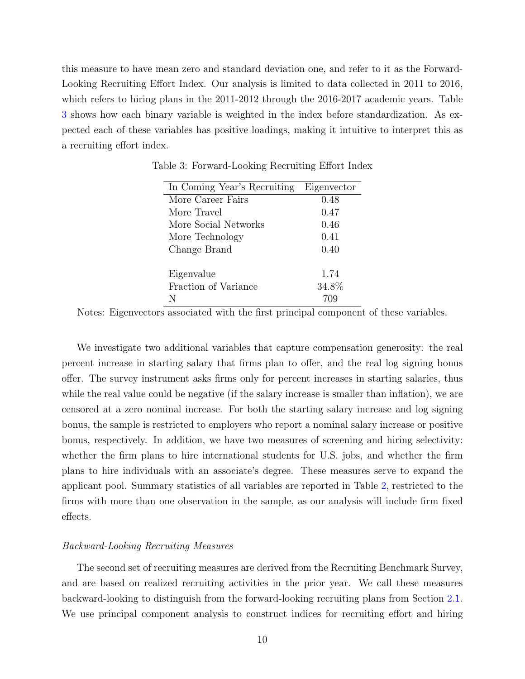<span id="page-11-0"></span>this measure to have mean zero and standard deviation one, and refer to it as the Forward-Looking Recruiting Effort Index. Our analysis is limited to data collected in 2011 to 2016, which refers to hiring plans in the 2011-2012 through the 2016-2017 academic years. Table [3](#page-11-0) shows how each binary variable is weighted in the index before standardization. As expected each of these variables has positive loadings, making it intuitive to interpret this as a recruiting effort index.

| In Coming Year's Recruiting | Eigenvector |
|-----------------------------|-------------|
| More Career Fairs           | 0.48        |
| More Travel                 | 0.47        |
| More Social Networks        | 0.46        |
| More Technology             | 0.41        |
| Change Brand                | 0.40        |
|                             |             |
| Eigenvalue                  | 1.74        |
| Fraction of Variance        | 34.8%       |
| N                           |             |

Table 3: Forward-Looking Recruiting Effort Index

Notes: Eigenvectors associated with the first principal component of these variables.

We investigate two additional variables that capture compensation generosity: the real percent increase in starting salary that firms plan to offer, and the real log signing bonus offer. The survey instrument asks firms only for percent increases in starting salaries, thus while the real value could be negative (if the salary increase is smaller than inflation), we are censored at a zero nominal increase. For both the starting salary increase and log signing bonus, the sample is restricted to employers who report a nominal salary increase or positive bonus, respectively. In addition, we have two measures of screening and hiring selectivity: whether the firm plans to hire international students for U.S. jobs, and whether the firm plans to hire individuals with an associate's degree. These measures serve to expand the applicant pool. Summary statistics of all variables are reported in Table [2,](#page-10-1) restricted to the firms with more than one observation in the sample, as our analysis will include firm fixed effects.

#### <span id="page-11-1"></span>Backward-Looking Recruiting Measures

The second set of recruiting measures are derived from the Recruiting Benchmark Survey, and are based on realized recruiting activities in the prior year. We call these measures backward-looking to distinguish from the forward-looking recruiting plans from Section [2.1.](#page-10-2) We use principal component analysis to construct indices for recruiting effort and hiring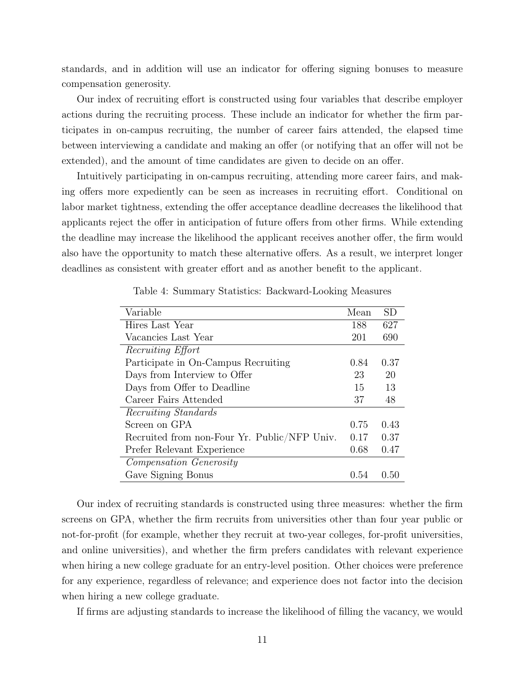standards, and in addition will use an indicator for offering signing bonuses to measure compensation generosity.

Our index of recruiting effort is constructed using four variables that describe employer actions during the recruiting process. These include an indicator for whether the firm participates in on-campus recruiting, the number of career fairs attended, the elapsed time between interviewing a candidate and making an offer (or notifying that an offer will not be extended), and the amount of time candidates are given to decide on an offer.

Intuitively participating in on-campus recruiting, attending more career fairs, and making offers more expediently can be seen as increases in recruiting effort. Conditional on labor market tightness, extending the offer acceptance deadline decreases the likelihood that applicants reject the offer in anticipation of future offers from other firms. While extending the deadline may increase the likelihood the applicant receives another offer, the firm would also have the opportunity to match these alternative offers. As a result, we interpret longer deadlines as consistent with greater effort and as another benefit to the applicant.

<span id="page-12-0"></span>

| Variable                                     | Mean | SD     |
|----------------------------------------------|------|--------|
| Hires Last Year                              | 188  | 627    |
| Vacancies Last Year                          | 201  | 690    |
| Recruiting Effort                            |      |        |
| Participate in On-Campus Recruiting          | 0.84 | 0.37   |
| Days from Interview to Offer                 | 23   | 20     |
| Days from Offer to Deadline                  | 15   | 13     |
| Career Fairs Attended                        | 37   | 48     |
| <i>Recruiting Standards</i>                  |      |        |
| Screen on GPA                                | 0.75 | 0.43   |
| Recruited from non-Four Yr. Public/NFP Univ. | 0.17 | 0.37   |
| Prefer Relevant Experience                   | 0.68 | 0.47   |
| <i>Compensation Generosity</i>               |      |        |
| Gave Signing Bonus                           | 0.54 | (0.50) |

Table 4: Summary Statistics: Backward-Looking Measures

Our index of recruiting standards is constructed using three measures: whether the firm screens on GPA, whether the firm recruits from universities other than four year public or not-for-profit (for example, whether they recruit at two-year colleges, for-profit universities, and online universities), and whether the firm prefers candidates with relevant experience when hiring a new college graduate for an entry-level position. Other choices were preference for any experience, regardless of relevance; and experience does not factor into the decision when hiring a new college graduate.

If firms are adjusting standards to increase the likelihood of filling the vacancy, we would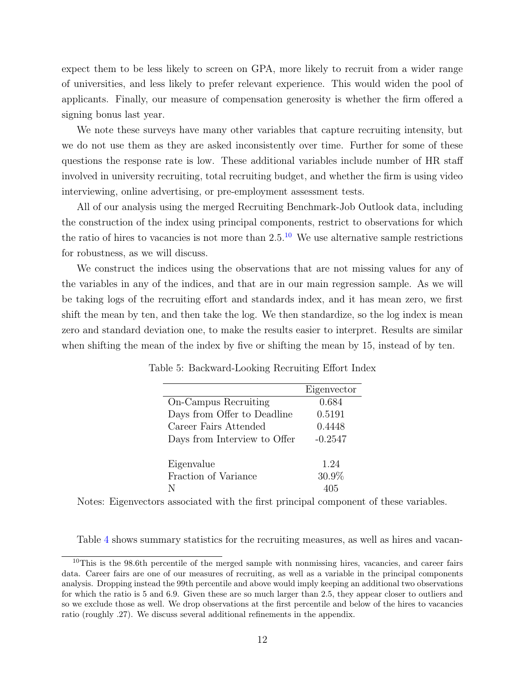expect them to be less likely to screen on GPA, more likely to recruit from a wider range of universities, and less likely to prefer relevant experience. This would widen the pool of applicants. Finally, our measure of compensation generosity is whether the firm offered a signing bonus last year.

We note these surveys have many other variables that capture recruiting intensity, but we do not use them as they are asked inconsistently over time. Further for some of these questions the response rate is low. These additional variables include number of HR staff involved in university recruiting, total recruiting budget, and whether the firm is using video interviewing, online advertising, or pre-employment assessment tests.

All of our analysis using the merged Recruiting Benchmark-Job Outlook data, including the construction of the index using principal components, restrict to observations for which the ratio of hires to vacancies is not more than  $2.5<sup>10</sup>$  $2.5<sup>10</sup>$  $2.5<sup>10</sup>$  We use alternative sample restrictions for robustness, as we will discuss.

We construct the indices using the observations that are not missing values for any of the variables in any of the indices, and that are in our main regression sample. As we will be taking logs of the recruiting effort and standards index, and it has mean zero, we first shift the mean by ten, and then take the log. We then standardize, so the log index is mean zero and standard deviation one, to make the results easier to interpret. Results are similar when shifting the mean of the index by five or shifting the mean by 15, instead of by ten.

|                              | Eigenvector |
|------------------------------|-------------|
| On-Campus Recruiting         | 0.684       |
| Days from Offer to Deadline  | 0.5191      |
| Career Fairs Attended        | 0.4448      |
| Days from Interview to Offer | $-0.2547$   |
|                              |             |
| Eigenvalue                   | 1.24        |
| Fraction of Variance         | 30.9%       |
|                              |             |

<span id="page-13-1"></span>Table 5: Backward-Looking Recruiting Effort Index

Notes: Eigenvectors associated with the first principal component of these variables.

Table [4](#page-12-0) shows summary statistics for the recruiting measures, as well as hires and vacan-

<span id="page-13-0"></span><sup>&</sup>lt;sup>10</sup>This is the 98.6th percentile of the merged sample with nonmissing hires, vacancies, and career fairs data. Career fairs are one of our measures of recruiting, as well as a variable in the principal components analysis. Dropping instead the 99th percentile and above would imply keeping an additional two observations for which the ratio is 5 and 6.9. Given these are so much larger than 2.5, they appear closer to outliers and so we exclude those as well. We drop observations at the first percentile and below of the hires to vacancies ratio (roughly .27). We discuss several additional refinements in the appendix.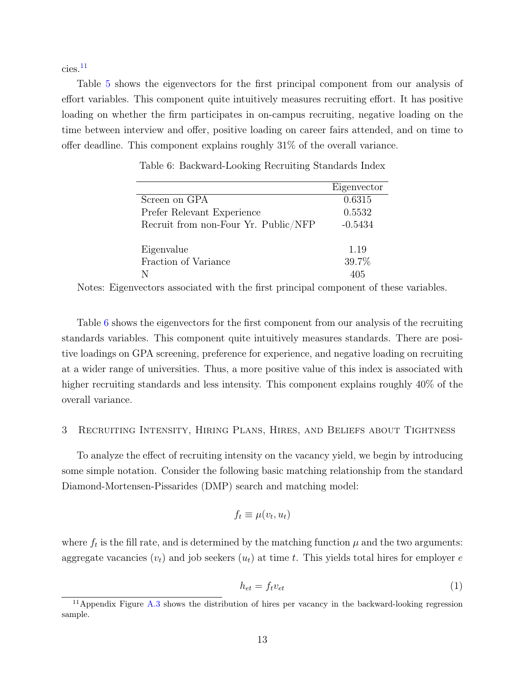$cies.<sup>11</sup>$  $cies.<sup>11</sup>$  $cies.<sup>11</sup>$ 

Table [5](#page-13-1) shows the eigenvectors for the first principal component from our analysis of effort variables. This component quite intuitively measures recruiting effort. It has positive loading on whether the firm participates in on-campus recruiting, negative loading on the time between interview and offer, positive loading on career fairs attended, and on time to offer deadline. This component explains roughly 31% of the overall variance.

<span id="page-14-1"></span>

|                                      | Eigenvector |
|--------------------------------------|-------------|
| Screen on GPA                        | 0.6315      |
| Prefer Relevant Experience           | 0.5532      |
| Recruit from non-Four Yr. Public/NFP | $-0.5434$   |
| Eigenvalue                           | 1.19        |
| Fraction of Variance                 | 39.7%       |
|                                      | 405         |

Table 6: Backward-Looking Recruiting Standards Index

Notes: Eigenvectors associated with the first principal component of these variables.

Table [6](#page-14-1) shows the eigenvectors for the first component from our analysis of the recruiting standards variables. This component quite intuitively measures standards. There are positive loadings on GPA screening, preference for experience, and negative loading on recruiting at a wider range of universities. Thus, a more positive value of this index is associated with higher recruiting standards and less intensity. This component explains roughly 40% of the overall variance.

#### <span id="page-14-2"></span>3 Recruiting Intensity, Hiring Plans, Hires, and Beliefs about Tightness

To analyze the effect of recruiting intensity on the vacancy yield, we begin by introducing some simple notation. Consider the following basic matching relationship from the standard Diamond-Mortensen-Pissarides (DMP) search and matching model:

<span id="page-14-3"></span>
$$
f_t \equiv \mu(v_t, u_t)
$$

where  $f_t$  is the fill rate, and is determined by the matching function  $\mu$  and the two arguments: aggregate vacancies  $(v_t)$  and job seekers  $(u_t)$  at time t. This yields total hires for employer e

$$
h_{et} = f_t v_{et} \tag{1}
$$

<span id="page-14-0"></span> $11$ Appendix Figure [A.3](#page-41-0) shows the distribution of hires per vacancy in the backward-looking regression sample.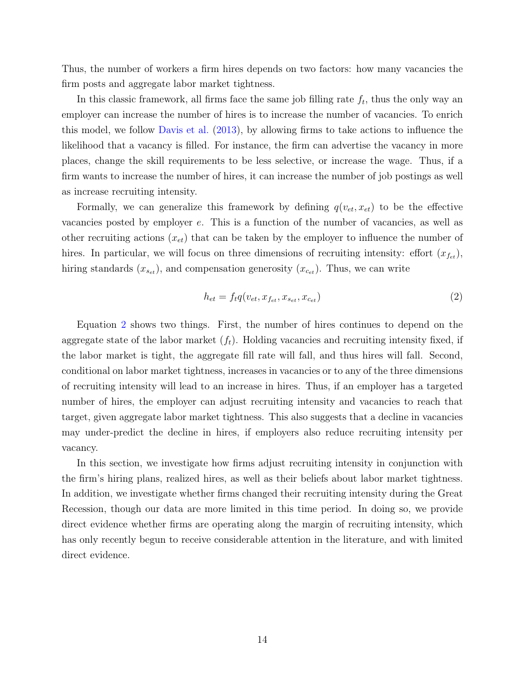Thus, the number of workers a firm hires depends on two factors: how many vacancies the firm posts and aggregate labor market tightness.

In this classic framework, all firms face the same job filling rate  $f_t$ , thus the only way an employer can increase the number of hires is to increase the number of vacancies. To enrich this model, we follow [Davis et al.](#page-31-1) [\(2013\)](#page-31-1), by allowing firms to take actions to influence the likelihood that a vacancy is filled. For instance, the firm can advertise the vacancy in more places, change the skill requirements to be less selective, or increase the wage. Thus, if a firm wants to increase the number of hires, it can increase the number of job postings as well as increase recruiting intensity.

Formally, we can generalize this framework by defining  $q(v_{et}, x_{et})$  to be the effective vacancies posted by employer e. This is a function of the number of vacancies, as well as other recruiting actions  $(x_{et})$  that can be taken by the employer to influence the number of hires. In particular, we will focus on three dimensions of recruiting intensity: effort  $(x_{f_{et}})$ , hiring standards  $(x_{s_{et}})$ , and compensation generosity  $(x_{c_{et}})$ . Thus, we can write

<span id="page-15-0"></span>
$$
h_{et} = f_t q(v_{et}, x_{f_{et}}, x_{s_{et}}, x_{c_{et}})
$$
\n
$$
\tag{2}
$$

Equation [2](#page-15-0) shows two things. First, the number of hires continues to depend on the aggregate state of the labor market  $(f_t)$ . Holding vacancies and recruiting intensity fixed, if the labor market is tight, the aggregate fill rate will fall, and thus hires will fall. Second, conditional on labor market tightness, increases in vacancies or to any of the three dimensions of recruiting intensity will lead to an increase in hires. Thus, if an employer has a targeted number of hires, the employer can adjust recruiting intensity and vacancies to reach that target, given aggregate labor market tightness. This also suggests that a decline in vacancies may under-predict the decline in hires, if employers also reduce recruiting intensity per vacancy.

In this section, we investigate how firms adjust recruiting intensity in conjunction with the firm's hiring plans, realized hires, as well as their beliefs about labor market tightness. In addition, we investigate whether firms changed their recruiting intensity during the Great Recession, though our data are more limited in this time period. In doing so, we provide direct evidence whether firms are operating along the margin of recruiting intensity, which has only recently begun to receive considerable attention in the literature, and with limited direct evidence.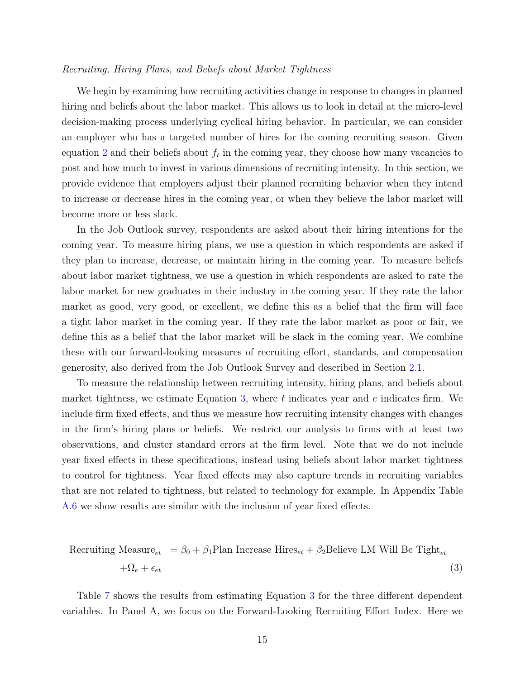#### Recruiting, Hiring Plans, and Beliefs about Market Tightness

We begin by examining how recruiting activities change in response to changes in planned hiring and beliefs about the labor market. This allows us to look in detail at the micro-level decision-making process underlying cyclical hiring behavior. In particular, we can consider an employer who has a targeted number of hires for the coming recruiting season. Given equation [2](#page-15-0) and their beliefs about  $f_t$  in the coming year, they choose how many vacancies to post and how much to invest in various dimensions of recruiting intensity. In this section, we provide evidence that employers adjust their planned recruiting behavior when they intend to increase or decrease hires in the coming year, or when they believe the labor market will become more or less slack.

In the Job Outlook survey, respondents are asked about their hiring intentions for the coming year. To measure hiring plans, we use a question in which respondents are asked if they plan to increase, decrease, or maintain hiring in the coming year. To measure beliefs about labor market tightness, we use a question in which respondents are asked to rate the labor market for new graduates in their industry in the coming year. If they rate the labor market as good, very good, or excellent, we define this as a belief that the firm will face a tight labor market in the coming year. If they rate the labor market as poor or fair, we define this as a belief that the labor market will be slack in the coming year. We combine these with our forward-looking measures of recruiting effort, standards, and compensation generosity, also derived from the Job Outlook Survey and described in Section [2.1.](#page-10-2)

To measure the relationship between recruiting intensity, hiring plans, and beliefs about market tightness, we estimate Equation [3,](#page-16-0) where  $t$  indicates year and  $e$  indicates firm. We include firm fixed effects, and thus we measure how recruiting intensity changes with changes in the firm's hiring plans or beliefs. We restrict our analysis to firms with at least two observations, and cluster standard errors at the firm level. Note that we do not include year fixed effects in these specifications, instead using beliefs about labor market tightness to control for tightness. Year fixed effects may also capture trends in recruiting variables that are not related to tightness, but related to technology for example. In Appendix Table [A.6](#page-41-1) we show results are similar with the inclusion of year fixed effects.

<span id="page-16-0"></span>Recriting Measure<sub>et</sub> = 
$$
\beta_0 + \beta_1
$$
Plan Increase Hires<sub>et</sub> +  $\beta_2$ Believe LM Will Be right<sub>et</sub>  
+ $\Omega_e + \epsilon_{et}$  (3)

Table [7](#page-17-0) shows the results from estimating Equation [3](#page-16-0) for the three different dependent variables. In Panel A, we focus on the Forward-Looking Recruiting Effort Index. Here we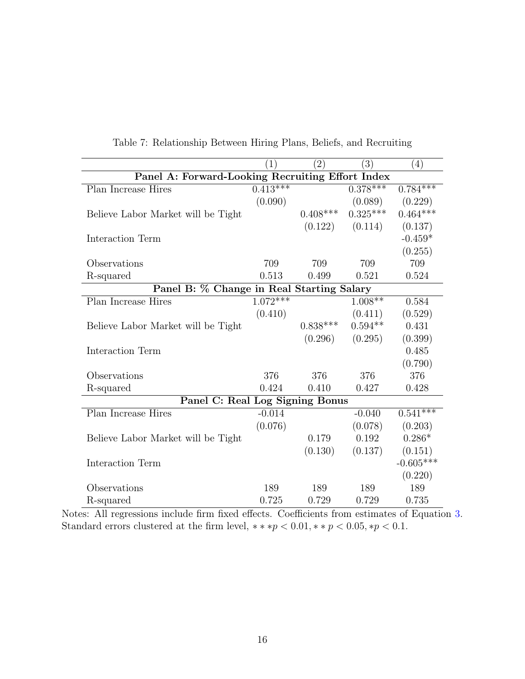<span id="page-17-0"></span>

|                                                  | $\left  \right $ | $\left( 2\right)$ | $\left(3\right)$ | (4)         |  |  |
|--------------------------------------------------|------------------|-------------------|------------------|-------------|--|--|
| Panel A: Forward-Looking Recruiting Effort Index |                  |                   |                  |             |  |  |
| Plan Increase Hires                              | $0.413***$       |                   | $0.378***$       | $0.784***$  |  |  |
|                                                  | (0.090)          |                   | (0.089)          | (0.229)     |  |  |
| Believe Labor Market will be Tight               |                  | $0.408***$        | $0.325***$       | $0.464***$  |  |  |
|                                                  |                  | (0.122)           | (0.114)          | (0.137)     |  |  |
| Interaction Term                                 |                  |                   |                  | $-0.459*$   |  |  |
|                                                  |                  |                   |                  | (0.255)     |  |  |
| Observations                                     | 709              | 709               | 709              | 709         |  |  |
| R-squared                                        | 0.513            | 0.499             | 0.521            | 0.524       |  |  |
| Panel B: % Change in Real Starting Salary        |                  |                   |                  |             |  |  |
| Plan Increase Hires                              | $1.072***$       |                   | $1.008**$        | 0.584       |  |  |
|                                                  | (0.410)          |                   | (0.411)          | (0.529)     |  |  |
| Believe Labor Market will be Tight               |                  | $0.838***$        | $0.594**$        | 0.431       |  |  |
|                                                  |                  | (0.296)           | (0.295)          | (0.399)     |  |  |
| Interaction Term                                 |                  |                   |                  | 0.485       |  |  |
|                                                  |                  |                   |                  | (0.790)     |  |  |
| Observations                                     | 376              | 376               | 376              | 376         |  |  |
| R-squared                                        | 0.424            | 0.410             | 0.427            | 0.428       |  |  |
| Panel C: Real Log Signing Bonus                  |                  |                   |                  |             |  |  |
| Plan Increase Hires                              | $-0.014$         |                   | $-0.040$         | $0.541***$  |  |  |
|                                                  | (0.076)          |                   | (0.078)          | (0.203)     |  |  |
| Believe Labor Market will be Tight               |                  | 0.179             | 0.192            | $0.286*$    |  |  |
|                                                  |                  | (0.130)           | (0.137)          | (0.151)     |  |  |
| Interaction Term                                 |                  |                   |                  | $-0.605***$ |  |  |
|                                                  |                  |                   |                  | (0.220)     |  |  |
| Observations                                     | 189              | 189               | 189              | 189         |  |  |
| R-squared                                        | 0.725            | 0.729             | 0.729            | 0.735       |  |  |

Table 7: Relationship Between Hiring Plans, Beliefs, and Recruiting

Notes: All regressions include firm fixed effects. Coefficients from estimates of Equation [3.](#page-16-0) Standard errors clustered at the firm level,  $** sp < 0.01, ** p < 0.05, *p < 0.1$ .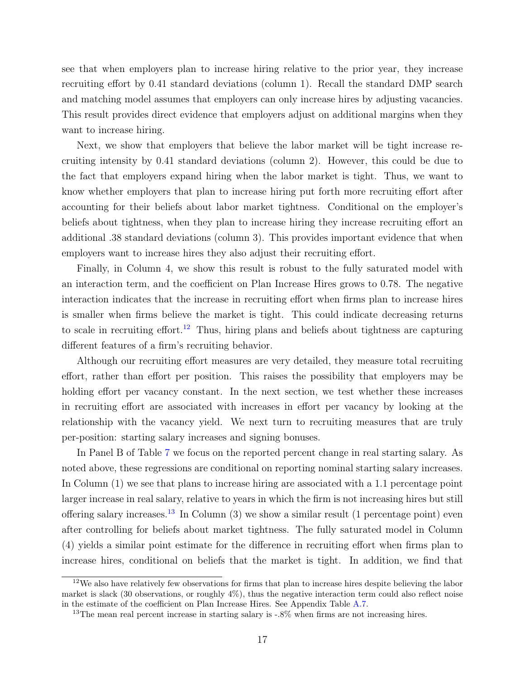see that when employers plan to increase hiring relative to the prior year, they increase recruiting effort by 0.41 standard deviations (column 1). Recall the standard DMP search and matching model assumes that employers can only increase hires by adjusting vacancies. This result provides direct evidence that employers adjust on additional margins when they want to increase hiring.

Next, we show that employers that believe the labor market will be tight increase recruiting intensity by 0.41 standard deviations (column 2). However, this could be due to the fact that employers expand hiring when the labor market is tight. Thus, we want to know whether employers that plan to increase hiring put forth more recruiting effort after accounting for their beliefs about labor market tightness. Conditional on the employer's beliefs about tightness, when they plan to increase hiring they increase recruiting effort an additional .38 standard deviations (column 3). This provides important evidence that when employers want to increase hires they also adjust their recruiting effort.

Finally, in Column 4, we show this result is robust to the fully saturated model with an interaction term, and the coefficient on Plan Increase Hires grows to 0.78. The negative interaction indicates that the increase in recruiting effort when firms plan to increase hires is smaller when firms believe the market is tight. This could indicate decreasing returns to scale in recruiting effort.<sup>[12](#page-18-0)</sup> Thus, hiring plans and beliefs about tightness are capturing different features of a firm's recruiting behavior.

Although our recruiting effort measures are very detailed, they measure total recruiting effort, rather than effort per position. This raises the possibility that employers may be holding effort per vacancy constant. In the next section, we test whether these increases in recruiting effort are associated with increases in effort per vacancy by looking at the relationship with the vacancy yield. We next turn to recruiting measures that are truly per-position: starting salary increases and signing bonuses.

In Panel B of Table [7](#page-17-0) we focus on the reported percent change in real starting salary. As noted above, these regressions are conditional on reporting nominal starting salary increases. In Column (1) we see that plans to increase hiring are associated with a 1.1 percentage point larger increase in real salary, relative to years in which the firm is not increasing hires but still offering salary increases.<sup>[13](#page-18-1)</sup> In Column (3) we show a similar result (1 percentage point) even after controlling for beliefs about market tightness. The fully saturated model in Column (4) yields a similar point estimate for the difference in recruiting effort when firms plan to increase hires, conditional on beliefs that the market is tight. In addition, we find that

<span id="page-18-0"></span><sup>&</sup>lt;sup>12</sup>We also have relatively few observations for firms that plan to increase hires despite believing the labor market is slack (30 observations, or roughly 4%), thus the negative interaction term could also reflect noise in the estimate of the coefficient on Plan Increase Hires. See Appendix Table [A.7.](#page-42-0)

<span id="page-18-1"></span><sup>&</sup>lt;sup>13</sup>The mean real percent increase in starting salary is -.8% when firms are not increasing hires.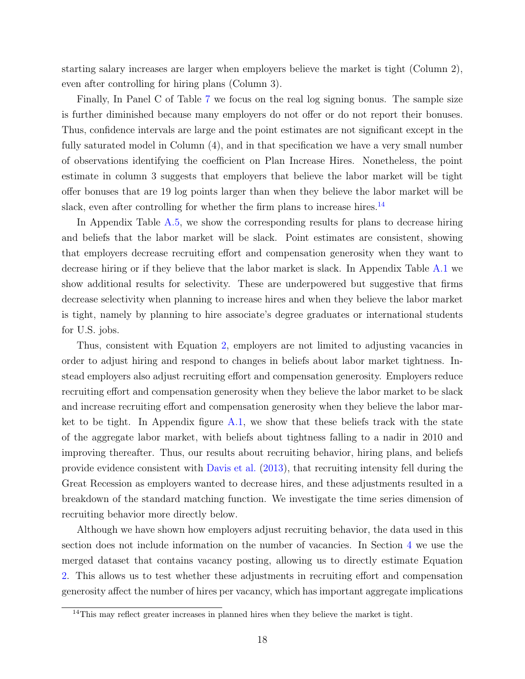starting salary increases are larger when employers believe the market is tight (Column 2), even after controlling for hiring plans (Column 3).

Finally, In Panel C of Table [7](#page-17-0) we focus on the real log signing bonus. The sample size is further diminished because many employers do not offer or do not report their bonuses. Thus, confidence intervals are large and the point estimates are not significant except in the fully saturated model in Column (4), and in that specification we have a very small number of observations identifying the coefficient on Plan Increase Hires. Nonetheless, the point estimate in column 3 suggests that employers that believe the labor market will be tight offer bonuses that are 19 log points larger than when they believe the labor market will be slack, even after controlling for whether the firm plans to increase hires.<sup>[14](#page-19-0)</sup>

In Appendix Table [A.5,](#page-40-0) we show the corresponding results for plans to decrease hiring and beliefs that the labor market will be slack. Point estimates are consistent, showing that employers decrease recruiting effort and compensation generosity when they want to decrease hiring or if they believe that the labor market is slack. In Appendix Table [A.1](#page-35-0) we show additional results for selectivity. These are underpowered but suggestive that firms decrease selectivity when planning to increase hires and when they believe the labor market is tight, namely by planning to hire associate's degree graduates or international students for U.S. jobs.

Thus, consistent with Equation [2,](#page-15-0) employers are not limited to adjusting vacancies in order to adjust hiring and respond to changes in beliefs about labor market tightness. Instead employers also adjust recruiting effort and compensation generosity. Employers reduce recruiting effort and compensation generosity when they believe the labor market to be slack and increase recruiting effort and compensation generosity when they believe the labor market to be tight. In Appendix figure [A.1,](#page-38-0) we show that these beliefs track with the state of the aggregate labor market, with beliefs about tightness falling to a nadir in 2010 and improving thereafter. Thus, our results about recruiting behavior, hiring plans, and beliefs provide evidence consistent with [Davis et al.](#page-31-1) [\(2013\)](#page-31-1), that recruiting intensity fell during the Great Recession as employers wanted to decrease hires, and these adjustments resulted in a breakdown of the standard matching function. We investigate the time series dimension of recruiting behavior more directly below.

Although we have shown how employers adjust recruiting behavior, the data used in this section does not include information on the number of vacancies. In Section [4](#page-24-0) we use the merged dataset that contains vacancy posting, allowing us to directly estimate Equation [2.](#page-15-0) This allows us to test whether these adjustments in recruiting effort and compensation generosity affect the number of hires per vacancy, which has important aggregate implications

<span id="page-19-0"></span><sup>&</sup>lt;sup>14</sup>This may reflect greater increases in planned hires when they believe the market is tight.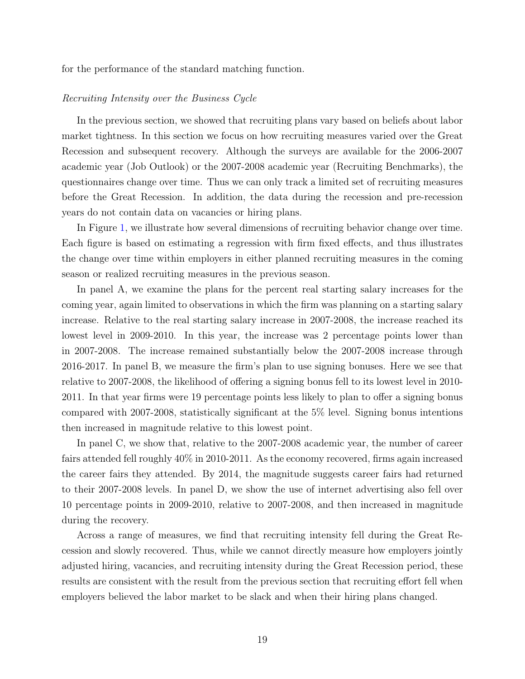for the performance of the standard matching function.

#### Recruiting Intensity over the Business Cycle

In the previous section, we showed that recruiting plans vary based on beliefs about labor market tightness. In this section we focus on how recruiting measures varied over the Great Recession and subsequent recovery. Although the surveys are available for the 2006-2007 academic year (Job Outlook) or the 2007-2008 academic year (Recruiting Benchmarks), the questionnaires change over time. Thus we can only track a limited set of recruiting measures before the Great Recession. In addition, the data during the recession and pre-recession years do not contain data on vacancies or hiring plans.

In Figure [1,](#page-21-0) we illustrate how several dimensions of recruiting behavior change over time. Each figure is based on estimating a regression with firm fixed effects, and thus illustrates the change over time within employers in either planned recruiting measures in the coming season or realized recruiting measures in the previous season.

In panel A, we examine the plans for the percent real starting salary increases for the coming year, again limited to observations in which the firm was planning on a starting salary increase. Relative to the real starting salary increase in 2007-2008, the increase reached its lowest level in 2009-2010. In this year, the increase was 2 percentage points lower than in 2007-2008. The increase remained substantially below the 2007-2008 increase through 2016-2017. In panel B, we measure the firm's plan to use signing bonuses. Here we see that relative to 2007-2008, the likelihood of offering a signing bonus fell to its lowest level in 2010- 2011. In that year firms were 19 percentage points less likely to plan to offer a signing bonus compared with 2007-2008, statistically significant at the 5% level. Signing bonus intentions then increased in magnitude relative to this lowest point.

In panel C, we show that, relative to the 2007-2008 academic year, the number of career fairs attended fell roughly 40% in 2010-2011. As the economy recovered, firms again increased the career fairs they attended. By 2014, the magnitude suggests career fairs had returned to their 2007-2008 levels. In panel D, we show the use of internet advertising also fell over 10 percentage points in 2009-2010, relative to 2007-2008, and then increased in magnitude during the recovery.

Across a range of measures, we find that recruiting intensity fell during the Great Recession and slowly recovered. Thus, while we cannot directly measure how employers jointly adjusted hiring, vacancies, and recruiting intensity during the Great Recession period, these results are consistent with the result from the previous section that recruiting effort fell when employers believed the labor market to be slack and when their hiring plans changed.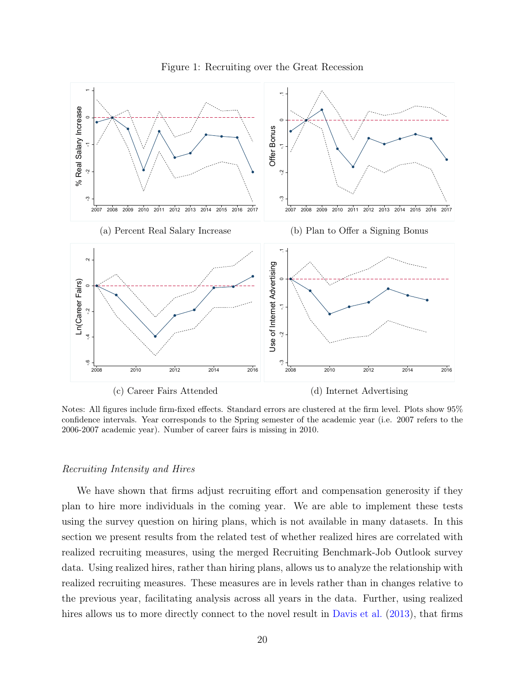<span id="page-21-0"></span>

Figure 1: Recruiting over the Great Recession

Notes: All figures include firm-fixed effects. Standard errors are clustered at the firm level. Plots show 95% confidence intervals. Year corresponds to the Spring semester of the academic year (i.e. 2007 refers to the 2006-2007 academic year). Number of career fairs is missing in 2010.

#### Recruiting Intensity and Hires

We have shown that firms adjust recruiting effort and compensation generosity if they plan to hire more individuals in the coming year. We are able to implement these tests using the survey question on hiring plans, which is not available in many datasets. In this section we present results from the related test of whether realized hires are correlated with realized recruiting measures, using the merged Recruiting Benchmark-Job Outlook survey data. Using realized hires, rather than hiring plans, allows us to analyze the relationship with realized recruiting measures. These measures are in levels rather than in changes relative to the previous year, facilitating analysis across all years in the data. Further, using realized hires allows us to more directly connect to the novel result in [Davis et al.](#page-31-1) [\(2013\)](#page-31-1), that firms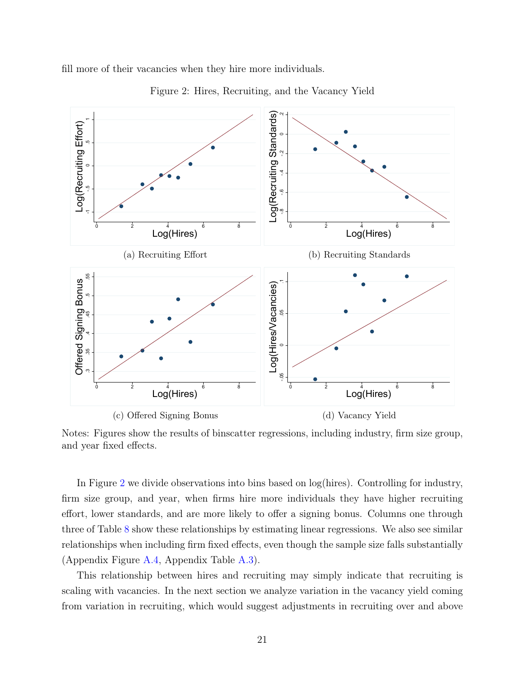<span id="page-22-0"></span>fill more of their vacancies when they hire more individuals.



Figure 2: Hires, Recruiting, and the Vacancy Yield

Notes: Figures show the results of binscatter regressions, including industry, firm size group, and year fixed effects.

In Figure [2](#page-22-0) we divide observations into bins based on log(hires). Controlling for industry, firm size group, and year, when firms hire more individuals they have higher recruiting effort, lower standards, and are more likely to offer a signing bonus. Columns one through three of Table [8](#page-27-0) show these relationships by estimating linear regressions. We also see similar relationships when including firm fixed effects, even though the sample size falls substantially (Appendix Figure [A.4,](#page-42-1) Appendix Table [A.3\)](#page-36-0).

This relationship between hires and recruiting may simply indicate that recruiting is scaling with vacancies. In the next section we analyze variation in the vacancy yield coming from variation in recruiting, which would suggest adjustments in recruiting over and above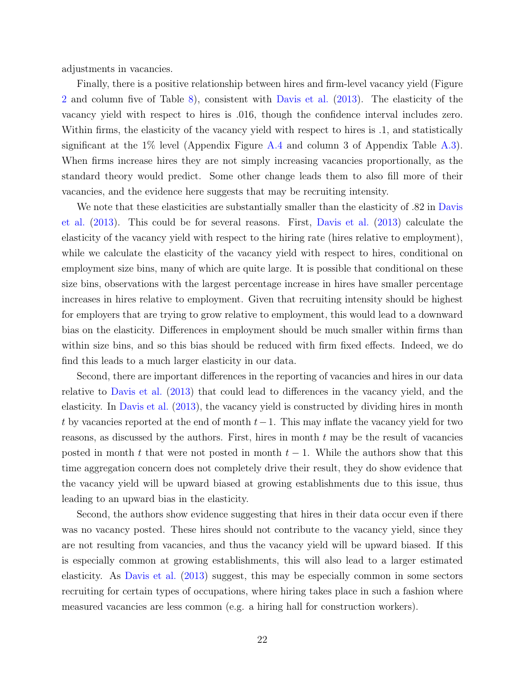adjustments in vacancies.

Finally, there is a positive relationship between hires and firm-level vacancy yield (Figure [2](#page-22-0) and column five of Table [8\)](#page-27-0), consistent with [Davis et al.](#page-31-1) [\(2013\)](#page-31-1). The elasticity of the vacancy yield with respect to hires is .016, though the confidence interval includes zero. Within firms, the elasticity of the vacancy yield with respect to hires is .1, and statistically significant at the  $1\%$  level (Appendix Figure [A.4](#page-42-1) and column 3 of Appendix Table [A.3\)](#page-36-0). When firms increase hires they are not simply increasing vacancies proportionally, as the standard theory would predict. Some other change leads them to also fill more of their vacancies, and the evidence here suggests that may be recruiting intensity.

We note that these elasticities are substantially smaller than the elasticity of  $.82$  in [Davis](#page-31-1) [et al.](#page-31-1) [\(2013\)](#page-31-1). This could be for several reasons. First, [Davis et al.](#page-31-1) [\(2013\)](#page-31-1) calculate the elasticity of the vacancy yield with respect to the hiring rate (hires relative to employment), while we calculate the elasticity of the vacancy yield with respect to hires, conditional on employment size bins, many of which are quite large. It is possible that conditional on these size bins, observations with the largest percentage increase in hires have smaller percentage increases in hires relative to employment. Given that recruiting intensity should be highest for employers that are trying to grow relative to employment, this would lead to a downward bias on the elasticity. Differences in employment should be much smaller within firms than within size bins, and so this bias should be reduced with firm fixed effects. Indeed, we do find this leads to a much larger elasticity in our data.

Second, there are important differences in the reporting of vacancies and hires in our data relative to [Davis et al.](#page-31-1) [\(2013\)](#page-31-1) that could lead to differences in the vacancy yield, and the elasticity. In [Davis et al.](#page-31-1) [\(2013\)](#page-31-1), the vacancy yield is constructed by dividing hires in month t by vacancies reported at the end of month  $t-1$ . This may inflate the vacancy yield for two reasons, as discussed by the authors. First, hires in month  $t$  may be the result of vacancies posted in month t that were not posted in month  $t-1$ . While the authors show that this time aggregation concern does not completely drive their result, they do show evidence that the vacancy yield will be upward biased at growing establishments due to this issue, thus leading to an upward bias in the elasticity.

Second, the authors show evidence suggesting that hires in their data occur even if there was no vacancy posted. These hires should not contribute to the vacancy yield, since they are not resulting from vacancies, and thus the vacancy yield will be upward biased. If this is especially common at growing establishments, this will also lead to a larger estimated elasticity. As [Davis et al.](#page-31-1) [\(2013\)](#page-31-1) suggest, this may be especially common in some sectors recruiting for certain types of occupations, where hiring takes place in such a fashion where measured vacancies are less common (e.g. a hiring hall for construction workers).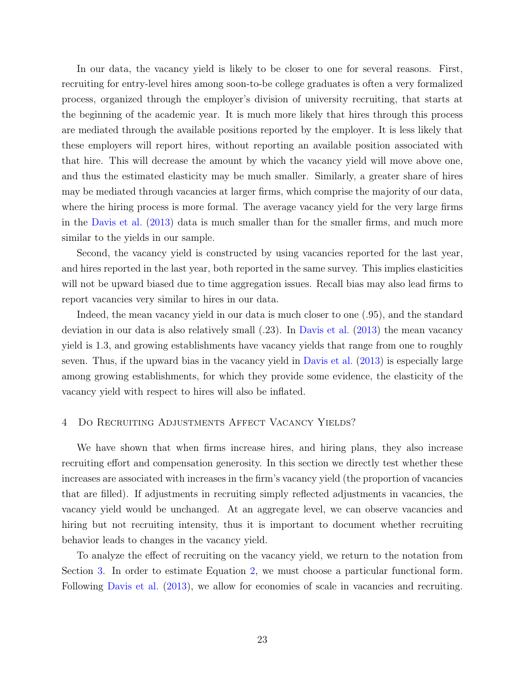In our data, the vacancy yield is likely to be closer to one for several reasons. First, recruiting for entry-level hires among soon-to-be college graduates is often a very formalized process, organized through the employer's division of university recruiting, that starts at the beginning of the academic year. It is much more likely that hires through this process are mediated through the available positions reported by the employer. It is less likely that these employers will report hires, without reporting an available position associated with that hire. This will decrease the amount by which the vacancy yield will move above one, and thus the estimated elasticity may be much smaller. Similarly, a greater share of hires may be mediated through vacancies at larger firms, which comprise the majority of our data, where the hiring process is more formal. The average vacancy yield for the very large firms in the [Davis et al.](#page-31-1) [\(2013\)](#page-31-1) data is much smaller than for the smaller firms, and much more similar to the yields in our sample.

Second, the vacancy yield is constructed by using vacancies reported for the last year, and hires reported in the last year, both reported in the same survey. This implies elasticities will not be upward biased due to time aggregation issues. Recall bias may also lead firms to report vacancies very similar to hires in our data.

Indeed, the mean vacancy yield in our data is much closer to one (.95), and the standard deviation in our data is also relatively small (.23). In [Davis et al.](#page-31-1) [\(2013\)](#page-31-1) the mean vacancy yield is 1.3, and growing establishments have vacancy yields that range from one to roughly seven. Thus, if the upward bias in the vacancy yield in [Davis et al.](#page-31-1) [\(2013\)](#page-31-1) is especially large among growing establishments, for which they provide some evidence, the elasticity of the vacancy yield with respect to hires will also be inflated.

#### <span id="page-24-0"></span>4 Do Recruiting Adjustments Affect Vacancy Yields?

We have shown that when firms increase hires, and hiring plans, they also increase recruiting effort and compensation generosity. In this section we directly test whether these increases are associated with increases in the firm's vacancy yield (the proportion of vacancies that are filled). If adjustments in recruiting simply reflected adjustments in vacancies, the vacancy yield would be unchanged. At an aggregate level, we can observe vacancies and hiring but not recruiting intensity, thus it is important to document whether recruiting behavior leads to changes in the vacancy yield.

To analyze the effect of recruiting on the vacancy yield, we return to the notation from Section [3.](#page-14-2) In order to estimate Equation [2,](#page-15-0) we must choose a particular functional form. Following [Davis et al.](#page-31-1) [\(2013\)](#page-31-1), we allow for economies of scale in vacancies and recruiting.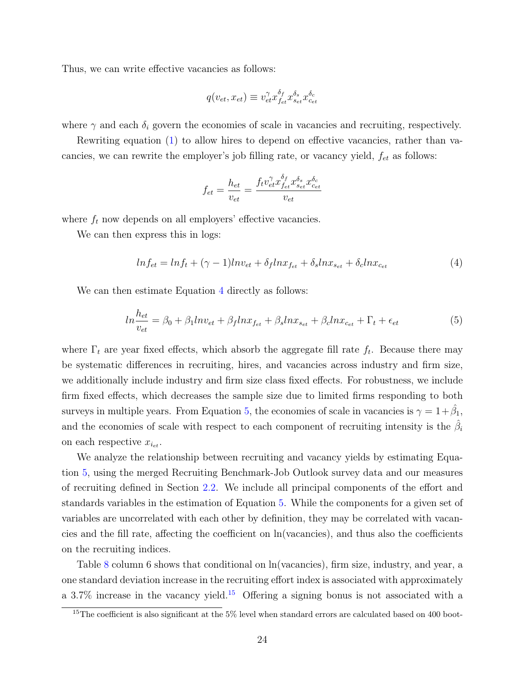Thus, we can write effective vacancies as follows:

<span id="page-25-0"></span>
$$
q(v_{et}, x_{et}) \equiv v_{et}^{\gamma} x_{fe}^{\delta_f} x_{se}^{\delta_s} x_{ce}^{\delta_c}
$$

where  $\gamma$  and each  $\delta_i$  govern the economies of scale in vacancies and recruiting, respectively.

Rewriting equation [\(1\)](#page-14-3) to allow hires to depend on effective vacancies, rather than vacancies, we can rewrite the employer's job filling rate, or vacancy yield,  $f_{et}$  as follows:

$$
f_{et} = \frac{h_{et}}{v_{et}} = \frac{f_t v_{et}^{\gamma} x_{f_{et}}^{\delta_f} x_{s_{et}}^{\delta_s} x_{c_{et}}^{\delta_c}}{v_{et}}
$$

where  $f_t$  now depends on all employers' effective vacancies.

We can then express this in logs:

$$
ln f_{et} = ln f_t + (\gamma - 1)ln v_{et} + \delta_f ln x_{f_{et}} + \delta_s ln x_{s_{et}} + \delta_c ln x_{c_{et}} \tag{4}
$$

We can then estimate Equation [4](#page-25-0) directly as follows:

<span id="page-25-1"></span>
$$
ln \frac{h_{et}}{v_{et}} = \beta_0 + \beta_1 ln v_{et} + \beta_f ln x_{f_{et}} + \beta_s ln x_{s_{et}} + \beta_c ln x_{c_{et}} + \Gamma_t + \epsilon_{et}
$$
(5)

where  $\Gamma_t$  are year fixed effects, which absorb the aggregate fill rate  $f_t$ . Because there may be systematic differences in recruiting, hires, and vacancies across industry and firm size, we additionally include industry and firm size class fixed effects. For robustness, we include firm fixed effects, which decreases the sample size due to limited firms responding to both surveys in multiple years. From Equation [5,](#page-25-1) the economies of scale in vacancies is  $\gamma = 1 + \hat{\beta}_1$ , and the economies of scale with respect to each component of recruiting intensity is the  $\hat{\beta}_i$ on each respective  $x_{i_{et}}$ .

We analyze the relationship between recruiting and vacancy yields by estimating Equation [5,](#page-25-1) using the merged Recruiting Benchmark-Job Outlook survey data and our measures of recruiting defined in Section [2.2.](#page-11-1) We include all principal components of the effort and standards variables in the estimation of Equation [5.](#page-25-1) While the components for a given set of variables are uncorrelated with each other by definition, they may be correlated with vacancies and the fill rate, affecting the coefficient on ln(vacancies), and thus also the coefficients on the recruiting indices.

Table [8](#page-27-0) column 6 shows that conditional on ln(vacancies), firm size, industry, and year, a one standard deviation increase in the recruiting effort index is associated with approximately a 3.7% increase in the vacancy yield.<sup>[15](#page-25-2)</sup> Offering a signing bonus is not associated with a

<span id="page-25-2"></span> $15$ The coefficient is also significant at the 5% level when standard errors are calculated based on 400 boot-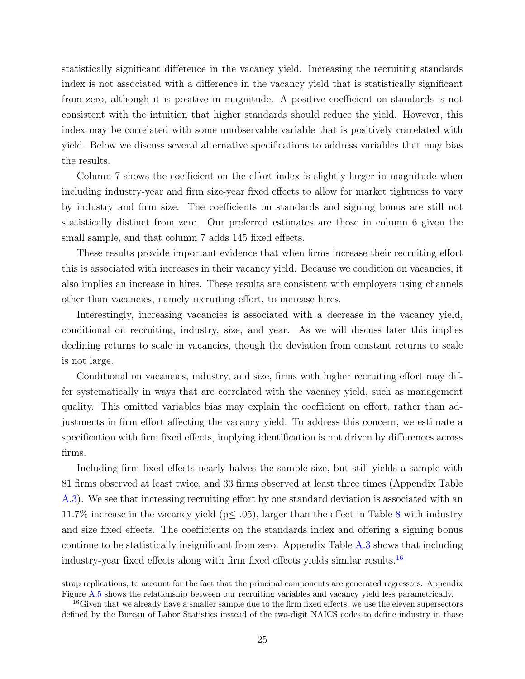statistically significant difference in the vacancy yield. Increasing the recruiting standards index is not associated with a difference in the vacancy yield that is statistically significant from zero, although it is positive in magnitude. A positive coefficient on standards is not consistent with the intuition that higher standards should reduce the yield. However, this index may be correlated with some unobservable variable that is positively correlated with yield. Below we discuss several alternative specifications to address variables that may bias the results.

Column 7 shows the coefficient on the effort index is slightly larger in magnitude when including industry-year and firm size-year fixed effects to allow for market tightness to vary by industry and firm size. The coefficients on standards and signing bonus are still not statistically distinct from zero. Our preferred estimates are those in column 6 given the small sample, and that column 7 adds 145 fixed effects.

These results provide important evidence that when firms increase their recruiting effort this is associated with increases in their vacancy yield. Because we condition on vacancies, it also implies an increase in hires. These results are consistent with employers using channels other than vacancies, namely recruiting effort, to increase hires.

Interestingly, increasing vacancies is associated with a decrease in the vacancy yield, conditional on recruiting, industry, size, and year. As we will discuss later this implies declining returns to scale in vacancies, though the deviation from constant returns to scale is not large.

Conditional on vacancies, industry, and size, firms with higher recruiting effort may differ systematically in ways that are correlated with the vacancy yield, such as management quality. This omitted variables bias may explain the coefficient on effort, rather than adjustments in firm effort affecting the vacancy yield. To address this concern, we estimate a specification with firm fixed effects, implying identification is not driven by differences across firms.

Including firm fixed effects nearly halves the sample size, but still yields a sample with 81 firms observed at least twice, and 33 firms observed at least three times (Appendix Table [A.3\)](#page-36-0). We see that increasing recruiting effort by one standard deviation is associated with an 11.7% increase in the vacancy yield ( $p \leq .05$ ), larger than the effect in Table [8](#page-27-0) with industry and size fixed effects. The coefficients on the standards index and offering a signing bonus continue to be statistically insignificant from zero. Appendix Table [A.3](#page-36-0) shows that including industry-year fixed effects along with firm fixed effects yields similar results.[16](#page-26-0)

strap replications, to account for the fact that the principal components are generated regressors. Appendix Figure [A.5](#page-43-0) shows the relationship between our recruiting variables and vacancy yield less parametrically.

<span id="page-26-0"></span> $16$  Given that we already have a smaller sample due to the firm fixed effects, we use the eleven supersectors defined by the Bureau of Labor Statistics instead of the two-digit NAICS codes to define industry in those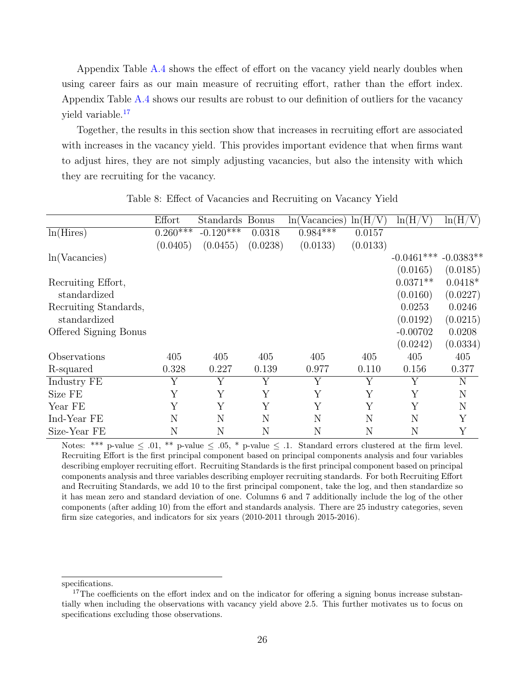Appendix Table [A.4](#page-37-0) shows the effect of effort on the vacancy yield nearly doubles when using career fairs as our main measure of recruiting effort, rather than the effort index. Appendix Table [A.4](#page-37-0) shows our results are robust to our definition of outliers for the vacancy yield variable.[17](#page-27-1)

Together, the results in this section show that increases in recruiting effort are associated with increases in the vacancy yield. This provides important evidence that when firms want to adjust hires, they are not simply adjusting vacancies, but also the intensity with which they are recruiting for the vacancy.

<span id="page-27-0"></span>

|                       | Effort     | Standards Bonus |          | (Vacancies)<br>ln( | ln(H/<br>'V` | ln(H/<br>'V) | ln(H/V)     |
|-----------------------|------------|-----------------|----------|--------------------|--------------|--------------|-------------|
| ln(Hires)             | $0.260***$ | $-0.120***$     | 0.0318   | $0.984***$         | 0.0157       |              |             |
|                       | (0.0405)   | (0.0455)        | (0.0238) | (0.0133)           | (0.0133)     |              |             |
| ln(Vacancies)         |            |                 |          |                    |              | $-0.0461***$ | $-0.0383**$ |
|                       |            |                 |          |                    |              | (0.0165)     | (0.0185)    |
| Recruiting Effort,    |            |                 |          |                    |              | $0.0371**$   | $0.0418*$   |
| standardized          |            |                 |          |                    |              | (0.0160)     | (0.0227)    |
| Recruiting Standards, |            |                 |          |                    |              | 0.0253       | 0.0246      |
| standardized          |            |                 |          |                    |              | (0.0192)     | (0.0215)    |
| Offered Signing Bonus |            |                 |          |                    |              | $-0.00702$   | 0.0208      |
|                       |            |                 |          |                    |              | (0.0242)     | (0.0334)    |
| Observations          | 405        | 405             | 405      | 405                | 405          | 405          | 405         |
| R-squared             | 0.328      | 0.227           | 0.139    | 0.977              | 0.110        | 0.156        | 0.377       |
| Industry FE           | Y          | Y               | Y        | Y                  | Y            | Y            | N           |
| Size FE               | Y          | Y               | Y        | Y                  | Y            | Y            | N           |
| Year FE               | Υ          | Y               | Y        | Y                  | Y            | Y            | N           |
| Ind-Year FE           | N          | N               | N        | N                  | N            | N            | Υ           |
| Size-Year FE          | N          | N               | N        | N                  | N            | N            | Y           |

Table 8: Effect of Vacancies and Recruiting on Vacancy Yield

Notes: \*\*\* p-value  $\leq$  0.01, \*\* p-value  $\leq$  0.05, \* p-value  $\leq$  0.1. Standard errors clustered at the firm level. Recruiting Effort is the first principal component based on principal components analysis and four variables describing employer recruiting effort. Recruiting Standards is the first principal component based on principal components analysis and three variables describing employer recruiting standards. For both Recruiting Effort and Recruiting Standards, we add 10 to the first principal component, take the log, and then standardize so it has mean zero and standard deviation of one. Columns 6 and 7 additionally include the log of the other components (after adding 10) from the effort and standards analysis. There are 25 industry categories, seven firm size categories, and indicators for six years (2010-2011 through 2015-2016).

specifications.

<span id="page-27-1"></span><sup>&</sup>lt;sup>17</sup>The coefficients on the effort index and on the indicator for offering a signing bonus increase substantially when including the observations with vacancy yield above 2.5. This further motivates us to focus on specifications excluding those observations.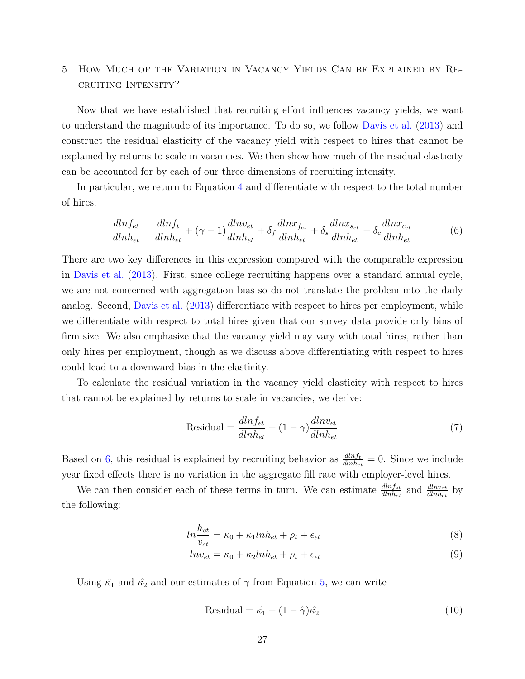### 5 How Much of the Variation in Vacancy Yields Can be Explained by Recruiting Intensity?

Now that we have established that recruiting effort influences vacancy yields, we want to understand the magnitude of its importance. To do so, we follow [Davis et al.](#page-31-1) [\(2013\)](#page-31-1) and construct the residual elasticity of the vacancy yield with respect to hires that cannot be explained by returns to scale in vacancies. We then show how much of the residual elasticity can be accounted for by each of our three dimensions of recruiting intensity.

In particular, we return to Equation [4](#page-25-0) and differentiate with respect to the total number of hires.

<span id="page-28-0"></span>
$$
\frac{dlnf_{et}}{dlnh_{et}} = \frac{dlnf_t}{dlnh_{et}} + (\gamma - 1)\frac{dlnv_{et}}{dlnh_{et}} + \delta_f \frac{dlnx_{fe}}{dlnh_{et}} + \delta_s \frac{dlnx_{se}}{dlnh_{et}} + \delta_c \frac{dlnx_{ce}}{dlnh_{et}} \tag{6}
$$

There are two key differences in this expression compared with the comparable expression in [Davis et al.](#page-31-1) [\(2013\)](#page-31-1). First, since college recruiting happens over a standard annual cycle, we are not concerned with aggregation bias so do not translate the problem into the daily analog. Second, [Davis et al.](#page-31-1) [\(2013\)](#page-31-1) differentiate with respect to hires per employment, while we differentiate with respect to total hires given that our survey data provide only bins of firm size. We also emphasize that the vacancy yield may vary with total hires, rather than only hires per employment, though as we discuss above differentiating with respect to hires could lead to a downward bias in the elasticity.

To calculate the residual variation in the vacancy yield elasticity with respect to hires that cannot be explained by returns to scale in vacancies, we derive:

$$
Residual = \frac{dlnf_{et}}{dlnh_{et}} + (1 - \gamma) \frac{dlnv_{et}}{dlnh_{et}}
$$
\n<sup>(7)</sup>

Based on [6,](#page-28-0) this residual is explained by recruiting behavior as  $\frac{dlnf_t}{dhn_{let}} = 0$ . Since we include year fixed effects there is no variation in the aggregate fill rate with employer-level hires.

We can then consider each of these terms in turn. We can estimate  $\frac{dln_{fet}}{dln_{het}}$  and  $\frac{dln_{vet}}{dln_{het}}$  by the following:

$$
ln \frac{h_{et}}{v_{et}} = \kappa_0 + \kappa_1 ln h_{et} + \rho_t + \epsilon_{et}
$$
\n<sup>(8)</sup>

$$
ln v_{et} = \kappa_0 + \kappa_2 ln h_{et} + \rho_t + \epsilon_{et}
$$
\n<sup>(9)</sup>

Using  $\hat{\kappa_1}$  and  $\hat{\kappa_2}$  and our estimates of  $\gamma$  from Equation [5,](#page-25-1) we can write

<span id="page-28-1"></span>
$$
Residual = \hat{\kappa_1} + (1 - \hat{\gamma})\hat{\kappa_2}
$$
\n(10)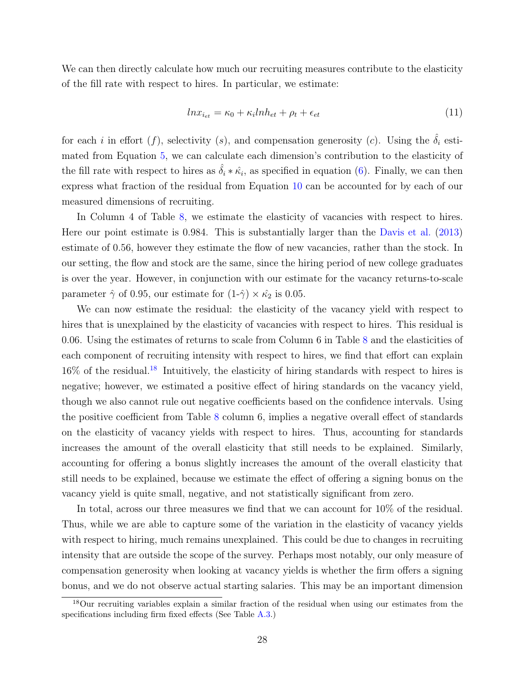We can then directly calculate how much our recruiting measures contribute to the elasticity of the fill rate with respect to hires. In particular, we estimate:

$$
ln x_{i_{et}} = \kappa_0 + \kappa_i ln h_{et} + \rho_t + \epsilon_{et}
$$
\n(11)

for each i in effort  $(f)$ , selectivity  $(s)$ , and compensation generosity  $(c)$ . Using the  $\hat{\delta}_i$  estimated from Equation [5,](#page-25-1) we can calculate each dimension's contribution to the elasticity of the fill rate with respect to hires as  $\hat{\delta}_i * \hat{\kappa}_i$ , as specified in equation [\(6\)](#page-28-0). Finally, we can then express what fraction of the residual from Equation [10](#page-28-1) can be accounted for by each of our measured dimensions of recruiting.

In Column 4 of Table [8,](#page-27-0) we estimate the elasticity of vacancies with respect to hires. Here our point estimate is 0.984. This is substantially larger than the [Davis et al.](#page-31-1) [\(2013\)](#page-31-1) estimate of 0.56, however they estimate the flow of new vacancies, rather than the stock. In our setting, the flow and stock are the same, since the hiring period of new college graduates is over the year. However, in conjunction with our estimate for the vacancy returns-to-scale parameter  $\hat{\gamma}$  of 0.95, our estimate for  $(1-\hat{\gamma}) \times \hat{\kappa}_2$  is 0.05.

We can now estimate the residual: the elasticity of the vacancy yield with respect to hires that is unexplained by the elasticity of vacancies with respect to hires. This residual is 0.06. Using the estimates of returns to scale from Column 6 in Table [8](#page-27-0) and the elasticities of each component of recruiting intensity with respect to hires, we find that effort can explain  $16\%$  of the residual.<sup>[18](#page-29-0)</sup> Intuitively, the elasticity of hiring standards with respect to hires is negative; however, we estimated a positive effect of hiring standards on the vacancy yield, though we also cannot rule out negative coefficients based on the confidence intervals. Using the positive coefficient from Table [8](#page-27-0) column 6, implies a negative overall effect of standards on the elasticity of vacancy yields with respect to hires. Thus, accounting for standards increases the amount of the overall elasticity that still needs to be explained. Similarly, accounting for offering a bonus slightly increases the amount of the overall elasticity that still needs to be explained, because we estimate the effect of offering a signing bonus on the vacancy yield is quite small, negative, and not statistically significant from zero.

In total, across our three measures we find that we can account for 10% of the residual. Thus, while we are able to capture some of the variation in the elasticity of vacancy yields with respect to hiring, much remains unexplained. This could be due to changes in recruiting intensity that are outside the scope of the survey. Perhaps most notably, our only measure of compensation generosity when looking at vacancy yields is whether the firm offers a signing bonus, and we do not observe actual starting salaries. This may be an important dimension

<span id="page-29-0"></span><sup>18</sup>Our recruiting variables explain a similar fraction of the residual when using our estimates from the specifications including firm fixed effects (See Table [A.3.](#page-36-0))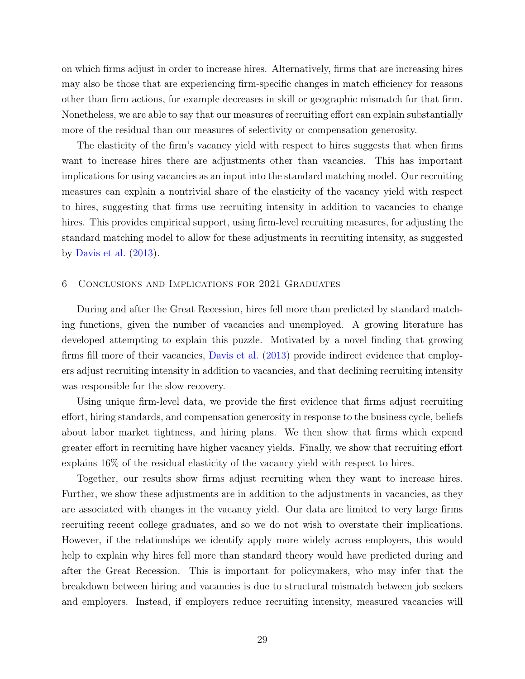on which firms adjust in order to increase hires. Alternatively, firms that are increasing hires may also be those that are experiencing firm-specific changes in match efficiency for reasons other than firm actions, for example decreases in skill or geographic mismatch for that firm. Nonetheless, we are able to say that our measures of recruiting effort can explain substantially more of the residual than our measures of selectivity or compensation generosity.

The elasticity of the firm's vacancy yield with respect to hires suggests that when firms want to increase hires there are adjustments other than vacancies. This has important implications for using vacancies as an input into the standard matching model. Our recruiting measures can explain a nontrivial share of the elasticity of the vacancy yield with respect to hires, suggesting that firms use recruiting intensity in addition to vacancies to change hires. This provides empirical support, using firm-level recruiting measures, for adjusting the standard matching model to allow for these adjustments in recruiting intensity, as suggested by [Davis et al.](#page-31-1) [\(2013\)](#page-31-1).

#### 6 Conclusions and Implications for 2021 Graduates

During and after the Great Recession, hires fell more than predicted by standard matching functions, given the number of vacancies and unemployed. A growing literature has developed attempting to explain this puzzle. Motivated by a novel finding that growing firms fill more of their vacancies, [Davis et al.](#page-31-1) [\(2013\)](#page-31-1) provide indirect evidence that employers adjust recruiting intensity in addition to vacancies, and that declining recruiting intensity was responsible for the slow recovery.

Using unique firm-level data, we provide the first evidence that firms adjust recruiting effort, hiring standards, and compensation generosity in response to the business cycle, beliefs about labor market tightness, and hiring plans. We then show that firms which expend greater effort in recruiting have higher vacancy yields. Finally, we show that recruiting effort explains 16% of the residual elasticity of the vacancy yield with respect to hires.

Together, our results show firms adjust recruiting when they want to increase hires. Further, we show these adjustments are in addition to the adjustments in vacancies, as they are associated with changes in the vacancy yield. Our data are limited to very large firms recruiting recent college graduates, and so we do not wish to overstate their implications. However, if the relationships we identify apply more widely across employers, this would help to explain why hires fell more than standard theory would have predicted during and after the Great Recession. This is important for policymakers, who may infer that the breakdown between hiring and vacancies is due to structural mismatch between job seekers and employers. Instead, if employers reduce recruiting intensity, measured vacancies will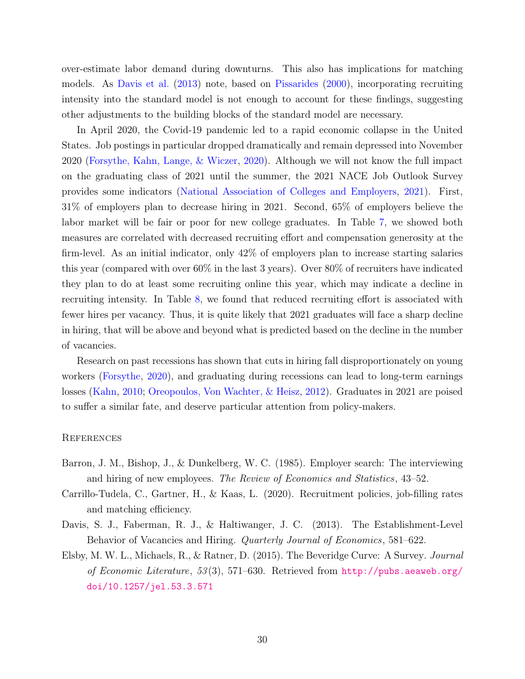over-estimate labor demand during downturns. This also has implications for matching models. As [Davis et al.](#page-31-1) [\(2013\)](#page-31-1) note, based on [Pissarides](#page-32-13) [\(2000\)](#page-32-13), incorporating recruiting intensity into the standard model is not enough to account for these findings, suggesting other adjustments to the building blocks of the standard model are necessary.

In April 2020, the Covid-19 pandemic led to a rapid economic collapse in the United States. Job postings in particular dropped dramatically and remain depressed into November 2020 [\(Forsythe, Kahn, Lange, & Wiczer,](#page-32-14) [2020\)](#page-32-14). Although we will not know the full impact on the graduating class of 2021 until the summer, the 2021 NACE Job Outlook Survey provides some indicators [\(National Association of Colleges and Employers,](#page-32-15) [2021\)](#page-32-15). First, 31% of employers plan to decrease hiring in 2021. Second, 65% of employers believe the labor market will be fair or poor for new college graduates. In Table [7,](#page-17-0) we showed both measures are correlated with decreased recruiting effort and compensation generosity at the firm-level. As an initial indicator, only 42% of employers plan to increase starting salaries this year (compared with over 60% in the last 3 years). Over 80% of recruiters have indicated they plan to do at least some recruiting online this year, which may indicate a decline in recruiting intensity. In Table [8,](#page-27-0) we found that reduced recruiting effort is associated with fewer hires per vacancy. Thus, it is quite likely that 2021 graduates will face a sharp decline in hiring, that will be above and beyond what is predicted based on the decline in the number of vacancies.

Research on past recessions has shown that cuts in hiring fall disproportionately on young workers [\(Forsythe,](#page-32-16) [2020\)](#page-32-16), and graduating during recessions can lead to long-term earnings losses [\(Kahn,](#page-32-17) [2010;](#page-32-17) [Oreopoulos, Von Wachter, & Heisz,](#page-32-18) [2012\)](#page-32-18). Graduates in 2021 are poised to suffer a similar fate, and deserve particular attention from policy-makers.

#### **REFERENCES**

- <span id="page-31-3"></span>Barron, J. M., Bishop, J., & Dunkelberg, W. C. (1985). Employer search: The interviewing and hiring of new employees. The Review of Economics and Statistics, 43–52.
- <span id="page-31-2"></span>Carrillo-Tudela, C., Gartner, H., & Kaas, L. (2020). Recruitment policies, job-filling rates and matching efficiency.
- <span id="page-31-1"></span>Davis, S. J., Faberman, R. J., & Haltiwanger, J. C. (2013). The Establishment-Level Behavior of Vacancies and Hiring. Quarterly Journal of Economics, 581–622.
- <span id="page-31-0"></span>Elsby, M. W. L., Michaels, R., & Ratner, D. (2015). The Beveridge Curve: A Survey. Journal of Economic Literature, 53(3), 571–630. Retrieved from [http://pubs.aeaweb.org/](http://pubs.aeaweb.org/doi/10.1257/jel.53.3.571) [doi/10.1257/jel.53.3.571](http://pubs.aeaweb.org/doi/10.1257/jel.53.3.571)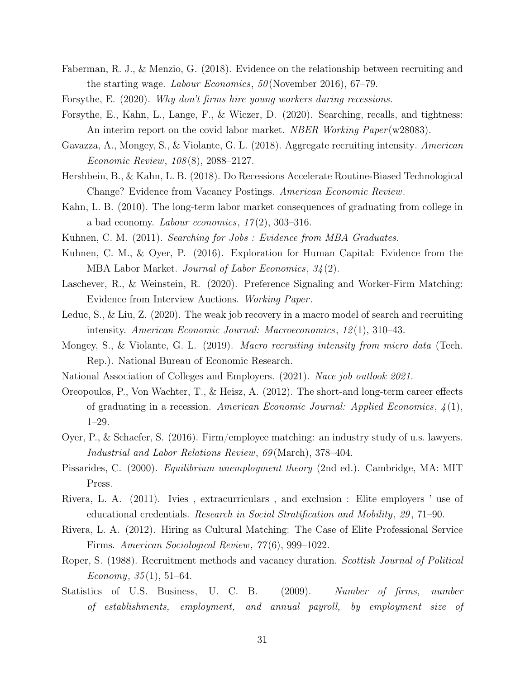- <span id="page-32-3"></span>Faberman, R. J., & Menzio, G. (2018). Evidence on the relationship between recruiting and the starting wage. Labour Economics,  $50$  (November 2016), 67–79.
- <span id="page-32-16"></span><span id="page-32-14"></span>Forsythe, E. (2020). Why don't firms hire young workers during recessions.
- Forsythe, E., Kahn, L., Lange, F., & Wiczer, D. (2020). Searching, recalls, and tightness: An interim report on the covid labor market. *NBER Working Paper* (w28083).
- <span id="page-32-0"></span>Gavazza, A., Mongey, S., & Violante, G. L. (2018). Aggregate recruiting intensity. American Economic Review, 108 (8), 2088–2127.
- <span id="page-32-4"></span>Hershbein, B., & Kahn, L. B. (2018). Do Recessions Accelerate Routine-Biased Technological Change? Evidence from Vacancy Postings. American Economic Review.
- <span id="page-32-17"></span>Kahn, L. B. (2010). The long-term labor market consequences of graduating from college in a bad economy. Labour economics,  $17(2)$ ,  $303-316$ .
- <span id="page-32-10"></span><span id="page-32-9"></span>Kuhnen, C. M. (2011). Searching for Jobs : Evidence from MBA Graduates.
- Kuhnen, C. M., & Oyer, P. (2016). Exploration for Human Capital: Evidence from the MBA Labor Market. Journal of Labor Economics, 34 (2).
- <span id="page-32-11"></span>Laschever, R., & Weinstein, R. (2020). Preference Signaling and Worker-Firm Matching: Evidence from Interview Auctions. Working Paper .
- <span id="page-32-1"></span>Leduc, S., & Liu, Z. (2020). The weak job recovery in a macro model of search and recruiting intensity. American Economic Journal: Macroeconomics, 12 (1), 310–43.
- <span id="page-32-2"></span>Mongey, S., & Violante, G. L. (2019). Macro recruiting intensity from micro data (Tech. Rep.). National Bureau of Economic Research.
- <span id="page-32-18"></span><span id="page-32-15"></span>National Association of Colleges and Employers. (2021). Nace job outlook 2021.
- Oreopoulos, P., Von Wachter, T., & Heisz, A. (2012). The short-and long-term career effects of graduating in a recession. American Economic Journal: Applied Economics,  $\mathcal{L}(1)$ , 1–29.
- <span id="page-32-6"></span>Oyer, P., & Schaefer, S. (2016). Firm/employee matching: an industry study of u.s. lawyers. Industrial and Labor Relations Review, 69 (March), 378–404.
- <span id="page-32-13"></span>Pissarides, C. (2000). Equilibrium unemployment theory (2nd ed.). Cambridge, MA: MIT Press.
- <span id="page-32-7"></span>Rivera, L. A. (2011). Ivies , extracurriculars , and exclusion : Elite employers ' use of educational credentials. Research in Social Stratification and Mobility , 29 , 71–90.
- <span id="page-32-8"></span>Rivera, L. A. (2012). Hiring as Cultural Matching: The Case of Elite Professional Service Firms. American Sociological Review, 77 (6), 999–1022.
- <span id="page-32-5"></span>Roper, S. (1988). Recruitment methods and vacancy duration. Scottish Journal of Political Economy,  $35(1)$ ,  $51-64$ .
- <span id="page-32-12"></span>Statistics of U.S. Business, U. C. B. (2009). Number of firms, number of establishments, employment, and annual payroll, by employment size of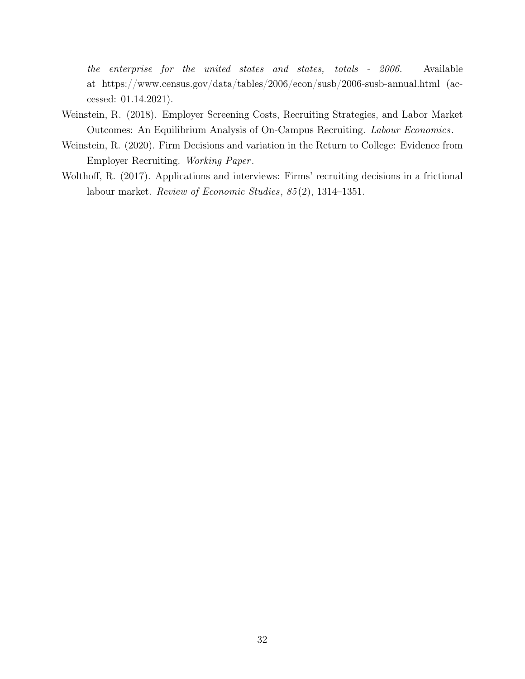the enterprise for the united states and states, totals - 2006. Available at https://www.census.gov/data/tables/2006/econ/susb/2006-susb-annual.html (accessed: 01.14.2021).

- <span id="page-33-2"></span>Weinstein, R. (2018). Employer Screening Costs, Recruiting Strategies, and Labor Market Outcomes: An Equilibrium Analysis of On-Campus Recruiting. Labour Economics.
- <span id="page-33-1"></span>Weinstein, R. (2020). Firm Decisions and variation in the Return to College: Evidence from Employer Recruiting. Working Paper .
- <span id="page-33-0"></span>Wolthoff, R. (2017). Applications and interviews: Firms' recruiting decisions in a frictional labour market. Review of Economic Studies, 85 (2), 1314–1351.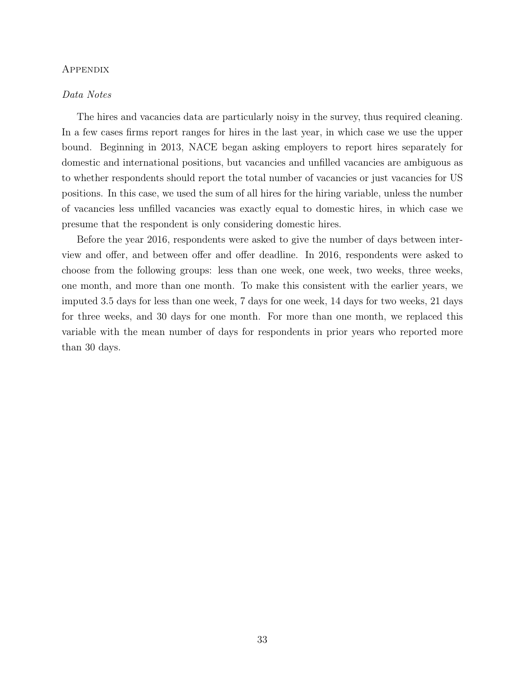#### Appendix

#### Data Notes

The hires and vacancies data are particularly noisy in the survey, thus required cleaning. In a few cases firms report ranges for hires in the last year, in which case we use the upper bound. Beginning in 2013, NACE began asking employers to report hires separately for domestic and international positions, but vacancies and unfilled vacancies are ambiguous as to whether respondents should report the total number of vacancies or just vacancies for US positions. In this case, we used the sum of all hires for the hiring variable, unless the number of vacancies less unfilled vacancies was exactly equal to domestic hires, in which case we presume that the respondent is only considering domestic hires.

Before the year 2016, respondents were asked to give the number of days between interview and offer, and between offer and offer deadline. In 2016, respondents were asked to choose from the following groups: less than one week, one week, two weeks, three weeks, one month, and more than one month. To make this consistent with the earlier years, we imputed 3.5 days for less than one week, 7 days for one week, 14 days for two weeks, 21 days for three weeks, and 30 days for one month. For more than one month, we replaced this variable with the mean number of days for respondents in prior years who reported more than 30 days.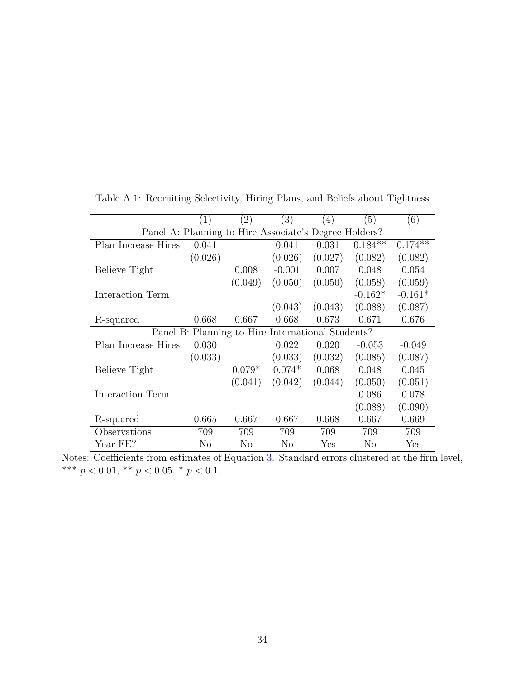|                                                       | (1)     | $\left( 2\right)$                                 | $\left(3\right)$ | (4)     | $\left(5\right)$ | (6)                  |
|-------------------------------------------------------|---------|---------------------------------------------------|------------------|---------|------------------|----------------------|
| Panel A: Planning to Hire Associate's Degree Holders? |         |                                                   |                  |         |                  |                      |
| Plan Increase Hires                                   | 0.041   |                                                   | 0.041            | 0.031   | $0.184**$        | $0.174**$            |
|                                                       | (0.026) |                                                   | (0.026)          | (0.027) | (0.082)          | (0.082)              |
| Believe Tight                                         |         | 0.008                                             | $-0.001$         | 0.007   | 0.048            | 0.054                |
|                                                       |         | (0.049)                                           | (0.050)          | (0.050) | (0.058)          | (0.059)              |
| Interaction Term                                      |         |                                                   |                  |         | $-0.162*$        | $-0.161*$            |
|                                                       |         |                                                   | (0.043)          | (0.043) | (0.088)          | (0.087)              |
| R-squared                                             | 0.668   | 0.667                                             | 0.668            | 0.673   | 0.671            | 0.676                |
|                                                       |         | Panel B: Planning to Hire International Students? |                  |         |                  |                      |
| Plan Increase Hires                                   | 0.030   |                                                   | 0.022            | 0.020   | $-0.053$         | $-0.049$             |
|                                                       | (0.033) |                                                   | (0.033)          | (0.032) | (0.085)          | (0.087)              |
| Believe Tight                                         |         | $0.079*$                                          | $0.074*$         | 0.068   | 0.048            | 0.045                |
|                                                       |         | (0.041)                                           | (0.042)          | (0.044) | (0.050)          | (0.051)              |
| Interaction Term                                      |         |                                                   |                  |         | 0.086            | 0.078                |
|                                                       |         |                                                   |                  |         | (0.088)          | (0.090)              |
| R-squared                                             | 0.665   | 0.667                                             | 0.667            | 0.668   | 0.667            | 0.669                |
| Observations                                          | 709     | 709                                               | 709              | 709     | 709              | 709                  |
| Year FE?                                              | No      | No                                                | No               | Yes     | No               | $\operatorname{Yes}$ |

<span id="page-35-0"></span>Table A.1: Recruiting Selectivity, Hiring Plans, and Beliefs about Tightness

Notes: Coefficients from estimates of Equation [3.](#page-16-0) Standard errors clustered at the firm level, \*\*\* $p < 0.01,$ \*\* $p < 0.05,$ \* $p < 0.1.$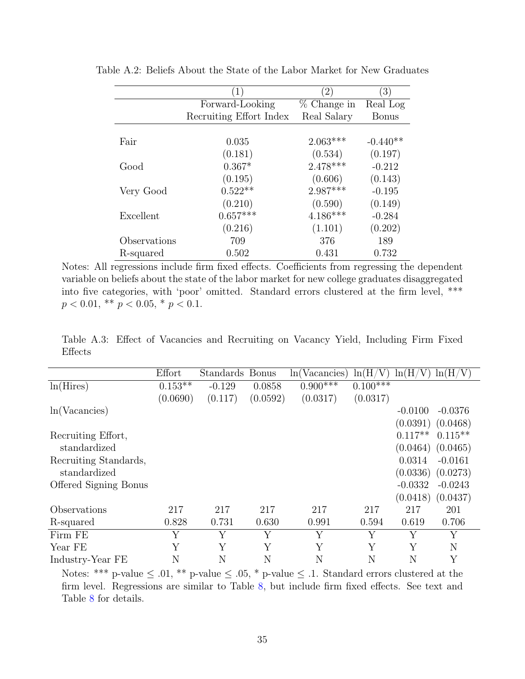|              | $\mathbf{1}$            | $\left( 2\right)$ | $\left(3\right)$ |
|--------------|-------------------------|-------------------|------------------|
|              | Forward-Looking         | $%$ Change in     | Real Log         |
|              | Recruiting Effort Index | Real Salary       | <b>Bonus</b>     |
|              |                         |                   |                  |
| Fair         | 0.035                   | $2.063***$        | $-0.440**$       |
|              | (0.181)                 | (0.534)           | (0.197)          |
| Good         | $0.367*$                | $2.478***$        | $-0.212$         |
|              | (0.195)                 | (0.606)           | (0.143)          |
| Very Good    | $0.522**$               | $2.987***$        | $-0.195$         |
|              | (0.210)                 | (0.590)           | (0.149)          |
| Excellent    | $0.657***$              | $4.186***$        | $-0.284$         |
|              | (0.216)                 | (1.101)           | (0.202)          |
| Observations | 709                     | 376               | 189              |
| R-squared    | 0.502                   | 0.431             | 0.732            |

Table A.2: Beliefs About the State of the Labor Market for New Graduates

Notes: All regressions include firm fixed effects. Coefficients from regressing the dependent variable on beliefs about the state of the labor market for new college graduates disaggregated into five categories, with 'poor' omitted. Standard errors clustered at the firm level, \*\*\*  $p < 0.01$ , \*\*  $p < 0.05$ , \*  $p < 0.1$ .

<span id="page-36-0"></span>Table A.3: Effect of Vacancies and Recruiting on Vacancy Yield, Including Firm Fixed Effects

|                              | Effort    | Standards | <b>Bonus</b> | ln(Vacancies) | ln(H/<br>$\rm{V}$ | ln(H/V)   | ln(H/V)   |
|------------------------------|-----------|-----------|--------------|---------------|-------------------|-----------|-----------|
| ln(Hires)                    | $0.153**$ | $-0.129$  | 0.0858       | $0.900***$    | $0.100***$        |           |           |
|                              | (0.0690)  | (0.117)   | (0.0592)     | (0.0317)      | (0.0317)          |           |           |
| ln(Vacancies)                |           |           |              |               |                   | $-0.0100$ | $-0.0376$ |
|                              |           |           |              |               |                   | (0.0391)  | (0.0468)  |
| Recruiting Effort,           |           |           |              |               |                   | $0.117**$ | $0.115**$ |
| standardized                 |           |           |              |               |                   | (0.0464)  | (0.0465)  |
| Recruiting Standards,        |           |           |              |               |                   | 0.0314    | $-0.0161$ |
| standardized                 |           |           |              |               |                   | (0.0336)  | (0.0273)  |
| <b>Offered Signing Bonus</b> |           |           |              |               |                   | $-0.0332$ | $-0.0243$ |
|                              |           |           |              |               |                   | (0.0418)  | (0.0437)  |
| Observations                 | 217       | 217       | 217          | 217           | 217               | 217       | 201       |
| R-squared                    | 0.828     | 0.731     | 0.630        | 0.991         | 0.594             | 0.619     | 0.706     |
| Firm FE                      | Y         | Υ         | Y            | Y             | Y                 | Y         | Υ         |
| Year FE                      | Y         | Y         | Y            | Υ             | Y                 | Υ         | N         |
| Industry-Year FE             | N         | N         | N            | N             | N                 | N         | Υ         |

Notes: \*\*\* p-value  $\leq .01$ , \*\* p-value  $\leq .05$ , \* p-value  $\leq .1$ . Standard errors clustered at the firm level. Regressions are similar to Table [8,](#page-27-0) but include firm fixed effects. See text and Table [8](#page-27-0) for details.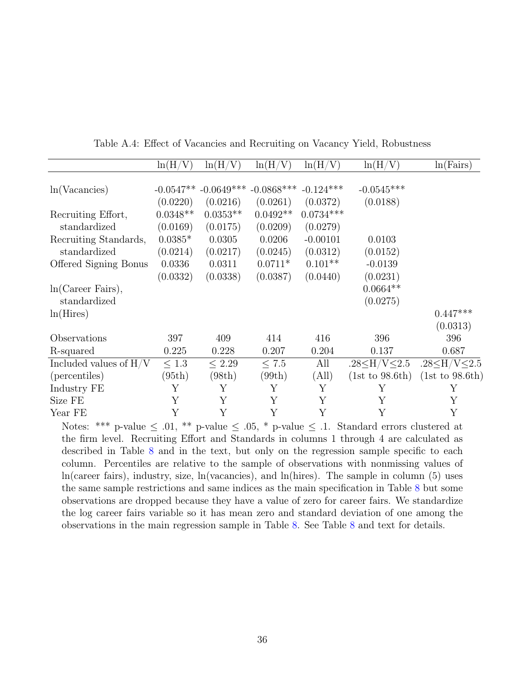<span id="page-37-0"></span>

|                          | ln(H/      | ln(H/                    | ln(H/        | ln(H/V)     | ln(H/V)                   | ln(Fairs)                 |
|--------------------------|------------|--------------------------|--------------|-------------|---------------------------|---------------------------|
|                          |            |                          |              |             |                           |                           |
| ln(Vacancies)            |            | $-0.0547**$ $-0.0649***$ | $-0.0868***$ | $-0.124***$ | $-0.0545***$              |                           |
|                          | (0.0220)   | (0.0216)                 | (0.0261)     | (0.0372)    | (0.0188)                  |                           |
| Recruiting Effort,       | $0.0348**$ | $0.0353**$               | $0.0492**$   | $0.0734***$ |                           |                           |
| standardized             | (0.0169)   | (0.0175)                 | (0.0209)     | (0.0279)    |                           |                           |
| Recruiting Standards,    | $0.0385*$  | 0.0305                   | 0.0206       | $-0.00101$  | 0.0103                    |                           |
| standardized             | (0.0214)   | (0.0217)                 | (0.0245)     | (0.0312)    | (0.0152)                  |                           |
| Offered Signing Bonus    | 0.0336     | 0.0311                   | $0.0711*$    | $0.101**$   | $-0.0139$                 |                           |
|                          | (0.0332)   | (0.0338)                 | (0.0387)     | (0.0440)    | (0.0231)                  |                           |
| ln(Career Fairs),        |            |                          |              |             | $0.0664**$                |                           |
| standardized             |            |                          |              |             | (0.0275)                  |                           |
| ln(Hires)                |            |                          |              |             |                           | $0.447***$                |
|                          |            |                          |              |             |                           | (0.0313)                  |
| Observations             | 397        | 409                      | 414          | 416         | 396                       | 396                       |
| R-squared                | 0.225      | 0.228                    | 0.207        | 0.204       | 0.137                     | 0.687                     |
| Included values of $H/V$ | $\leq 1.3$ | $\leq 2.29$              | $\leq 7.5$   | All         | .28 $\leq$ H/V $\leq$ 2.5 | .28 $\leq$ H/V $\leq$ 2.5 |
| (percentiles)            | (95th)     | (98th)                   | (99th)       | (All)       | (1st to 98.6th)           | (1st to 98.6th)           |
| Industry FE              | Υ          | Υ                        | Y            | Υ           | Υ                         | Υ                         |
| Size FE                  | Υ          | Υ                        | Υ            | Υ           | Υ                         | Υ                         |
| Year FE                  | Y          | Y                        | Υ            | Y           | Υ                         | Y                         |

Table A.4: Effect of Vacancies and Recruiting on Vacancy Yield, Robustness

Notes: \*\*\* p-value  $\leq 0.01$ , \*\* p-value  $\leq 0.05$ , \* p-value  $\leq 0.1$ . Standard errors clustered at the firm level. Recruiting Effort and Standards in columns 1 through 4 are calculated as described in Table [8](#page-27-0) and in the text, but only on the regression sample specific to each column. Percentiles are relative to the sample of observations with nonmissing values of ln(career fairs), industry, size, ln(vacancies), and ln(hires). The sample in column (5) uses the same sample restrictions and same indices as the main specification in Table [8](#page-27-0) but some observations are dropped because they have a value of zero for career fairs. We standardize the log career fairs variable so it has mean zero and standard deviation of one among the observations in the main regression sample in Table [8.](#page-27-0) See Table [8](#page-27-0) and text for details.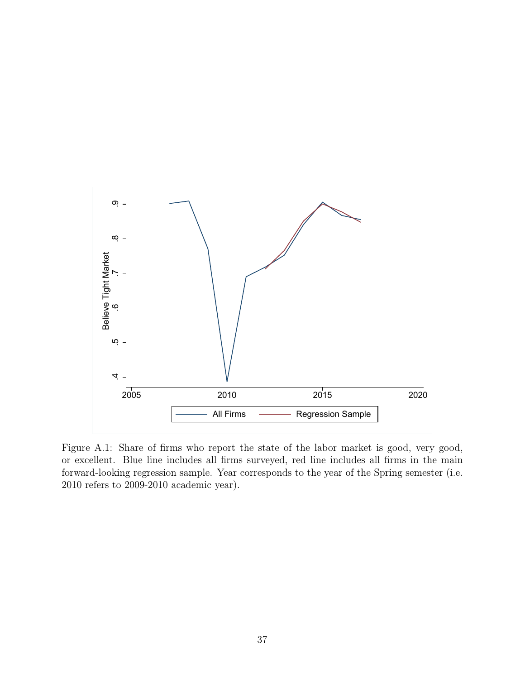<span id="page-38-0"></span>

Figure A.1: Share of firms who report the state of the labor market is good, very good, or excellent. Blue line includes all firms surveyed, red line includes all firms in the main forward-looking regression sample. Year corresponds to the year of the Spring semester (i.e. 2010 refers to 2009-2010 academic year).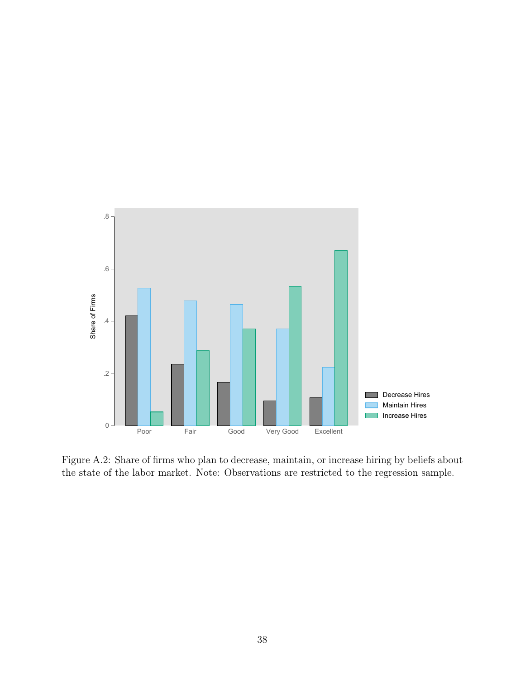

Figure A.2: Share of firms who plan to decrease, maintain, or increase hiring by beliefs about the state of the labor market. Note: Observations are restricted to the regression sample.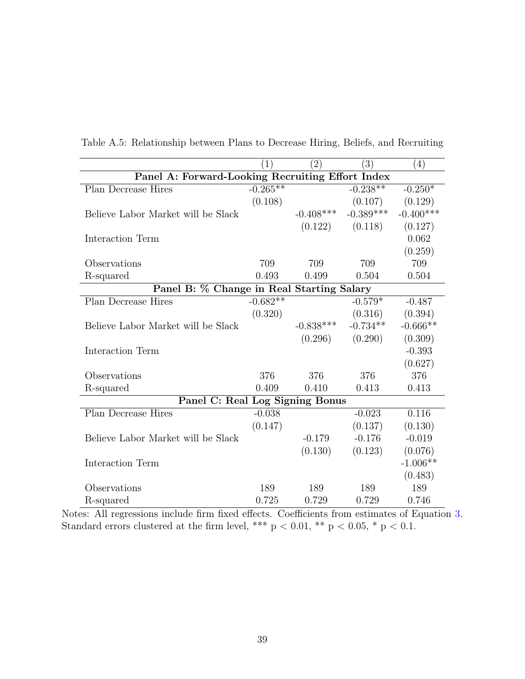|                                                  | (1)        | $\left( 2\right)$ | (3)         | (4)         |  |  |
|--------------------------------------------------|------------|-------------------|-------------|-------------|--|--|
| Panel A: Forward-Looking Recruiting Effort Index |            |                   |             |             |  |  |
| Plan Decrease Hires                              | $-0.265**$ |                   | $-0.238**$  | $-0.250*$   |  |  |
|                                                  | (0.108)    |                   | (0.107)     | (0.129)     |  |  |
| Believe Labor Market will be Slack               |            | $-0.408***$       | $-0.389***$ | $-0.400***$ |  |  |
|                                                  |            | (0.122)           | (0.118)     | (0.127)     |  |  |
| Interaction Term                                 |            |                   |             | 0.062       |  |  |
|                                                  |            |                   |             | (0.259)     |  |  |
| Observations                                     | 709        | 709               | 709         | 709         |  |  |
| R-squared                                        | 0.493      | 0.499             | 0.504       | 0.504       |  |  |
| Panel B: % Change in Real Starting Salary        |            |                   |             |             |  |  |
| Plan Decrease Hires                              | $-0.682**$ |                   | $-0.579*$   | $-0.487$    |  |  |
|                                                  | (0.320)    |                   | (0.316)     | (0.394)     |  |  |
| Believe Labor Market will be Slack               |            | $-0.838***$       | $-0.734**$  | $-0.666**$  |  |  |
|                                                  |            | (0.296)           | (0.290)     | (0.309)     |  |  |
| Interaction Term                                 |            |                   |             | $-0.393$    |  |  |
|                                                  |            |                   |             | (0.627)     |  |  |
| Observations                                     | 376        | 376               | 376         | 376         |  |  |
| R-squared                                        | 0.409      | 0.410             | 0.413       | 0.413       |  |  |
| Panel C: Real Log Signing Bonus                  |            |                   |             |             |  |  |
| Plan Decrease Hires                              | $-0.038$   |                   | $-0.023$    | 0.116       |  |  |
|                                                  | (0.147)    |                   | (0.137)     | (0.130)     |  |  |
| Believe Labor Market will be Slack               |            | $-0.179$          | $-0.176$    | $-0.019$    |  |  |
|                                                  |            | (0.130)           | (0.123)     | (0.076)     |  |  |
| Interaction Term                                 |            |                   |             | $-1.006**$  |  |  |
|                                                  |            |                   |             | (0.483)     |  |  |
| Observations                                     | 189        | 189               | 189         | 189         |  |  |
| R-squared                                        | 0.725      | 0.729             | 0.729       | 0.746       |  |  |

<span id="page-40-0"></span>Table A.5: Relationship between Plans to Decrease Hiring, Beliefs, and Recruiting

Notes: All regressions include firm fixed effects. Coefficients from estimates of Equation [3.](#page-16-0) Standard errors clustered at the firm level, \*\*\*  $p < 0.01$ , \*\*  $p < 0.05$ , \*  $p < 0.1$ .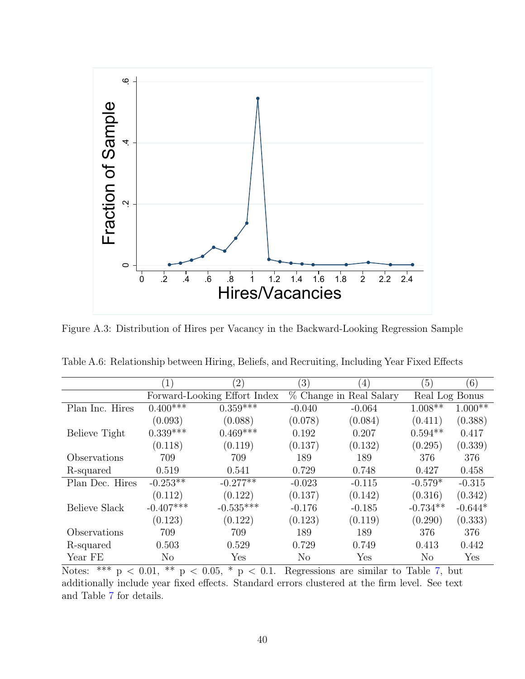<span id="page-41-0"></span>

Figure A.3: Distribution of Hires per Vacancy in the Backward-Looking Regression Sample

|                 | (1)                          | $\left( 2\right)$     | $\left( 3\right)$ | $\left( 4\right)$       | (5)        | (6)            |  |
|-----------------|------------------------------|-----------------------|-------------------|-------------------------|------------|----------------|--|
|                 | Forward-Looking Effort Index |                       |                   | % Change in Real Salary |            | Real Log Bonus |  |
| Plan Inc. Hires | $0.400***$                   | $0.35\overline{9***}$ | $-0.040$          | $-0.064$                | $1.008***$ | $1.000**$      |  |
|                 | (0.093)                      | (0.088)               | (0.078)           | (0.084)                 | (0.411)    | (0.388)        |  |
| Believe Tight   | $0.339***$                   | $0.469***$            | 0.192             | 0.207                   | $0.594**$  | 0.417          |  |
|                 | (0.118)                      | (0.119)               | (0.137)           | (0.132)                 | (0.295)    | (0.339)        |  |
| Observations    | 709                          | 709                   | 189               | 189                     | 376        | 376            |  |
| R-squared       | 0.519                        | 0.541                 | 0.729             | 0.748                   | 0.427      | 0.458          |  |
| Plan Dec. Hires | $-0.253**$                   | $-0.277**$            | $-0.023$          | $-0.115$                | $-0.579*$  | $-0.315$       |  |
|                 | (0.112)                      | (0.122)               | (0.137)           | (0.142)                 | (0.316)    | (0.342)        |  |
| Believe Slack   | $-0.407***$                  | $-0.535***$           | $-0.176$          | $-0.185$                | $-0.734**$ | $-0.644*$      |  |
|                 | (0.123)                      | (0.122)               | (0.123)           | (0.119)                 | (0.290)    | (0.333)        |  |
| Observations    | 709                          | 709                   | 189               | 189                     | 376        | 376            |  |
| R-squared       | 0.503                        | 0.529                 | 0.729             | 0.749                   | 0.413      | 0.442          |  |
| Year FE         | No                           | Yes                   | No                | Yes                     | $\rm No$   | Yes            |  |

<span id="page-41-1"></span>Table A.6: Relationship between Hiring, Beliefs, and Recruiting, Including Year Fixed Effects

Notes: \*\*\*  $p < 0.01$ , \*\*  $p < 0.05$ , \*  $p < 0.1$ . Regressions are similar to Table [7,](#page-17-0) but additionally include year fixed effects. Standard errors clustered at the firm level. See text and Table [7](#page-17-0) for details.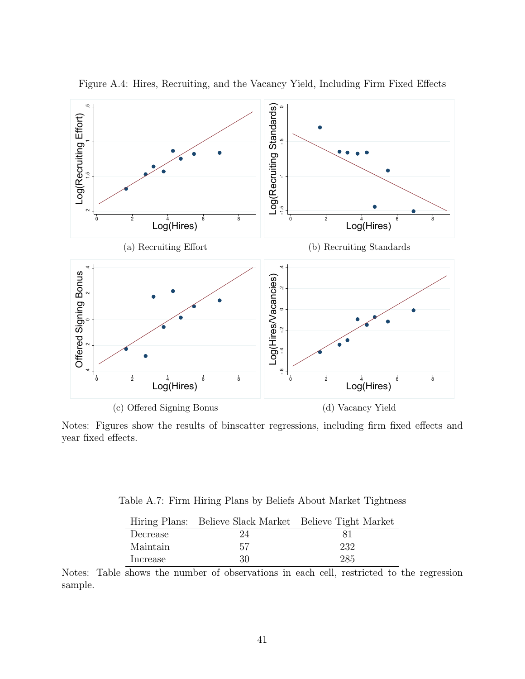

<span id="page-42-1"></span>Figure A.4: Hires, Recruiting, and the Vacancy Yield, Including Firm Fixed Effects

Notes: Figures show the results of binscatter regressions, including firm fixed effects and year fixed effects.

<span id="page-42-0"></span>Table A.7: Firm Hiring Plans by Beliefs About Market Tightness

|          | Hiring Plans: Believe Slack Market Believe Tight Market |     |
|----------|---------------------------------------------------------|-----|
| Decrease | 24                                                      |     |
| Maintain | 57                                                      | 232 |
| Increase | 30                                                      | 285 |

Notes: Table shows the number of observations in each cell, restricted to the regression sample.